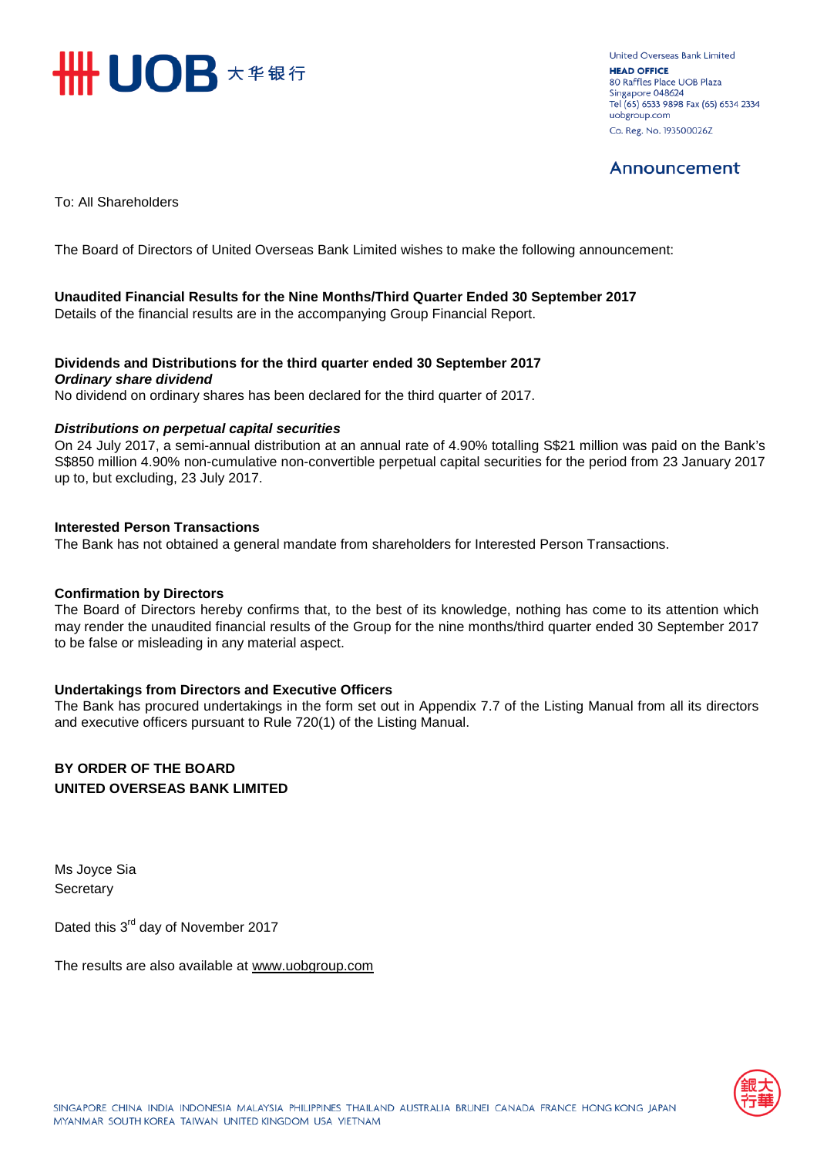

**United Overseas Bank Limited HEAD OFFICE** 80 Raffles Place UOB Plaza Singapore 048624 Tel (65) 6533 9898 Fax (65) 6534 2334 uobgroup.com Co. Reg. No. 193500026Z

# Announcement

To: All Shareholders

The Board of Directors of United Overseas Bank Limited wishes to make the following announcement:

#### **Unaudited Financial Results for the Nine Months/Third Quarter Ended 30 September 2017**

Details of the financial results are in the accompanying Group Financial Report.

#### **Dividends and Distributions for the third quarter ended 30 September 2017** *Ordinary share dividend*

No dividend on ordinary shares has been declared for the third quarter of 2017.

#### *Distributions on perpetual capital securities*

On 24 July 2017, a semi-annual distribution at an annual rate of 4.90% totalling S\$21 million was paid on the Bank's S\$850 million 4.90% non-cumulative non-convertible perpetual capital securities for the period from 23 January 2017 up to, but excluding, 23 July 2017.

#### **Interested Person Transactions**

The Bank has not obtained a general mandate from shareholders for Interested Person Transactions.

#### **Confirmation by Directors**

The Board of Directors hereby confirms that, to the best of its knowledge, nothing has come to its attention which may render the unaudited financial results of the Group for the nine months/third quarter ended 30 September 2017 to be false or misleading in any material aspect.

#### **Undertakings from Directors and Executive Officers**

The Bank has procured undertakings in the form set out in Appendix 7.7 of the Listing Manual from all its directors and executive officers pursuant to Rule 720(1) of the Listing Manual.

### **BY ORDER OF THE BOARD UNITED OVERSEAS BANK LIMITED**

Ms Joyce Sia **Secretary** 

Dated this 3<sup>rd</sup> day of November 2017

The results are also available at www.uob[group.com](http://www.uobgroup.com/)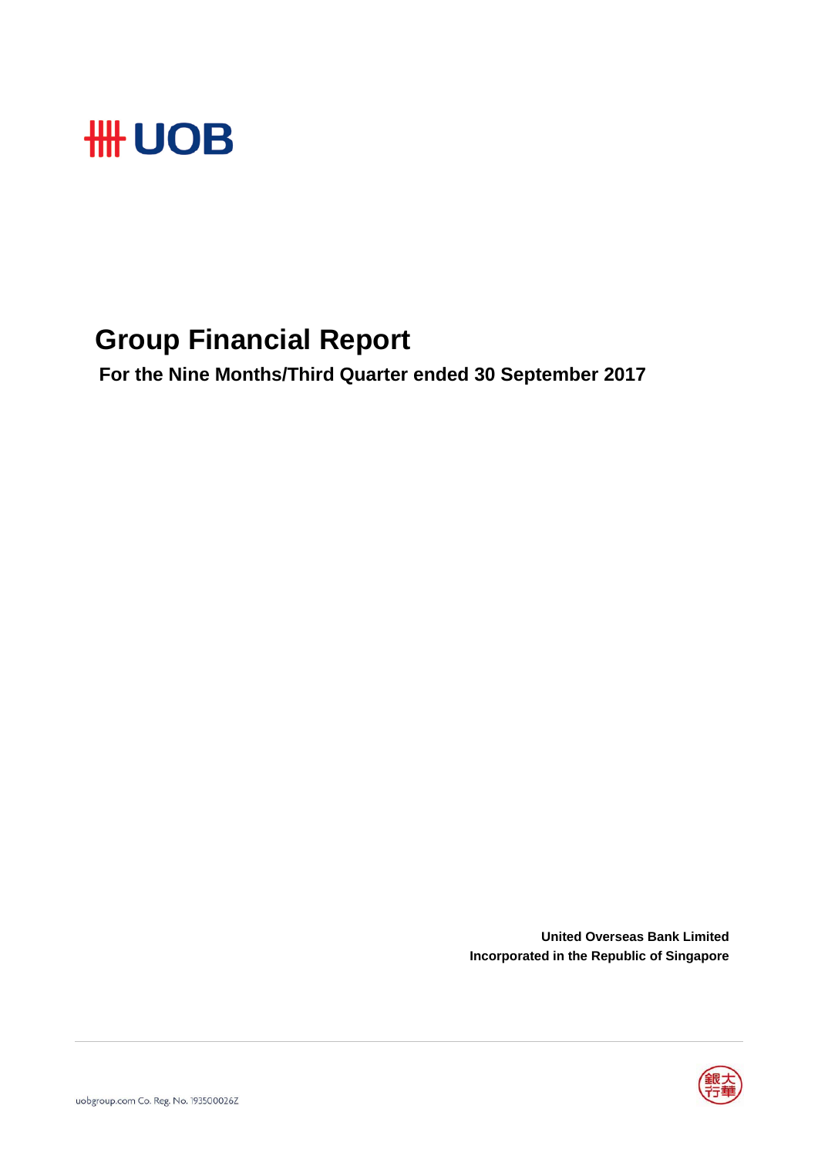

# **Group Financial Report**

 **For the Nine Months/Third Quarter ended 30 September 2017**

**United Overseas Bank Limited Incorporated in the Republic of Singapore**

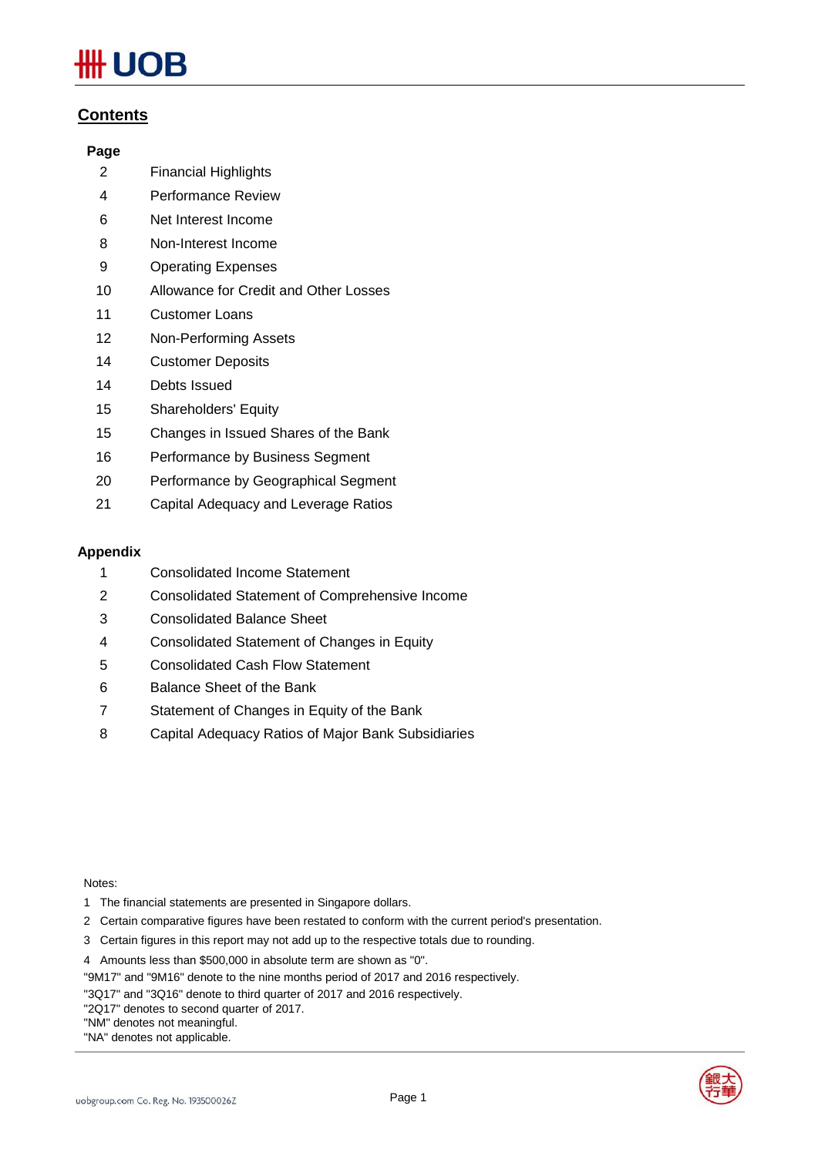# JOB

## **Contents**

#### **Page**

- 2 Financial Highlights
- 4 Performance Review
- 6 Net Interest Income
- 8 Non-Interest Income
- 9 Operating Expenses
- 10 Allowance for Credit and Other Losses
- 11 Customer Loans
- 12 Non-Performing Assets
- 14 Customer Deposits
- 14 Debts Issued
- 15 Shareholders' Equity
- 15 Changes in Issued Shares of the Bank
- 16 Performance by Business Segment
- 20 Performance by Geographical Segment
- 21 Capital Adequacy and Leverage Ratios

#### **Appendix**

- 1 Consolidated Income Statement
- 2 Consolidated Statement of Comprehensive Income
- 3 Consolidated Balance Sheet
- 4 Consolidated Statement of Changes in Equity
- 5 Consolidated Cash Flow Statement
- 6 Balance Sheet of the Bank
- 7 Statement of Changes in Equity of the Bank
- 8 Capital Adequacy Ratios of Major Bank Subsidiaries

#### Notes:

- 1 The financial statements are presented in Singapore dollars.
- 2 Certain comparative figures have been restated to conform with the current period's presentation.
- 3 Certain figures in this report may not add up to the respective totals due to rounding.

4 Amounts less than \$500,000 in absolute term are shown as "0".

"9M17" and "9M16" denote to the nine months period of 2017 and 2016 respectively.

"3Q17" and "3Q16" denote to third quarter of 2017 and 2016 respectively.

"2Q17" denotes to second quarter of 2017.

"NM" denotes not meaningful.

"NA" denotes not applicable.



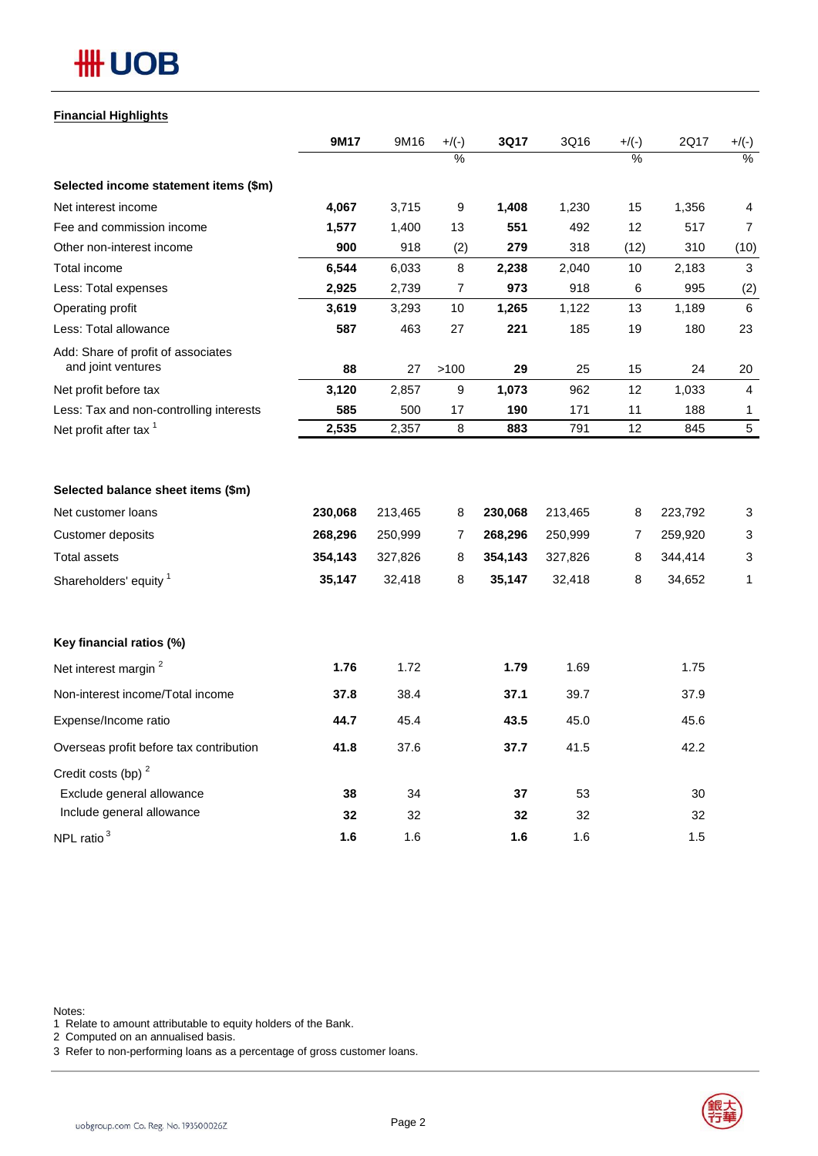# **HH UOB**

#### **Financial Highlights**

|                                                                                          | 9M17                                    | 9M16                                    | $+/(-)$          | 3Q17                                    | 3Q16                                    | $+/(-)$          | 2Q17                                    | $+/(-)$                     |
|------------------------------------------------------------------------------------------|-----------------------------------------|-----------------------------------------|------------------|-----------------------------------------|-----------------------------------------|------------------|-----------------------------------------|-----------------------------|
|                                                                                          |                                         |                                         | $\frac{9}{6}$    |                                         |                                         | $\frac{9}{6}$    |                                         | $\frac{9}{6}$               |
| Selected income statement items (\$m)                                                    |                                         |                                         |                  |                                         |                                         |                  |                                         |                             |
| Net interest income                                                                      | 4,067                                   | 3,715                                   | 9                | 1,408                                   | 1,230                                   | 15               | 1,356                                   | 4                           |
| Fee and commission income                                                                | 1,577                                   | 1,400                                   | 13               | 551                                     | 492                                     | 12               | 517                                     | $\overline{7}$              |
| Other non-interest income                                                                | 900                                     | 918                                     | (2)              | 279                                     | 318                                     | (12)             | 310                                     | (10)                        |
| Total income                                                                             | 6,544                                   | 6,033                                   | 8                | 2,238                                   | 2,040                                   | 10               | 2,183                                   | 3                           |
| Less: Total expenses                                                                     | 2,925                                   | 2,739                                   | 7                | 973                                     | 918                                     | 6                | 995                                     | (2)                         |
| Operating profit                                                                         | 3,619                                   | 3,293                                   | 10               | 1,265                                   | 1,122                                   | 13               | 1,189                                   | 6                           |
| Less: Total allowance                                                                    | 587                                     | 463                                     | 27               | 221                                     | 185                                     | 19               | 180                                     | 23                          |
| Add: Share of profit of associates<br>and joint ventures                                 | 88                                      | 27                                      | >100             | 29                                      | 25                                      | 15               | 24                                      | 20                          |
| Net profit before tax                                                                    | 3,120                                   | 2,857                                   | 9                | 1,073                                   | 962                                     | 12               | 1,033                                   | 4                           |
| Less: Tax and non-controlling interests                                                  | 585                                     | 500                                     | 17               | 190                                     | 171                                     | 11               | 188                                     | 1                           |
| Net profit after tax <sup>1</sup>                                                        | 2,535                                   | 2,357                                   | 8                | 883                                     | 791                                     | 12               | 845                                     | $5\phantom{.0}$             |
| Net customer loans<br>Customer deposits<br><b>Total assets</b><br>Shareholders' equity 1 | 230,068<br>268,296<br>354,143<br>35,147 | 213,465<br>250,999<br>327,826<br>32,418 | 8<br>7<br>8<br>8 | 230,068<br>268,296<br>354,143<br>35,147 | 213,465<br>250,999<br>327,826<br>32,418 | 8<br>7<br>8<br>8 | 223,792<br>259,920<br>344,414<br>34,652 | 3<br>3<br>3<br>$\mathbf{1}$ |
| Key financial ratios (%)                                                                 |                                         |                                         |                  |                                         |                                         |                  |                                         |                             |
| Net interest margin <sup>2</sup>                                                         | 1.76                                    | 1.72                                    |                  | 1.79                                    | 1.69                                    |                  | 1.75                                    |                             |
| Non-interest income/Total income                                                         | 37.8                                    | 38.4                                    |                  | 37.1                                    | 39.7                                    |                  | 37.9                                    |                             |
| Expense/Income ratio                                                                     | 44.7                                    | 45.4                                    |                  | 43.5                                    | 45.0                                    |                  | 45.6                                    |                             |
| Overseas profit before tax contribution                                                  | 41.8                                    | 37.6                                    |                  | 37.7                                    | 41.5                                    |                  | 42.2                                    |                             |
| Credit costs (bp) <sup>2</sup>                                                           |                                         |                                         |                  |                                         |                                         |                  |                                         |                             |
| Exclude general allowance                                                                | 38                                      | 34                                      |                  | 37                                      | 53                                      |                  | 30                                      |                             |
| Include general allowance                                                                | 32                                      | 32                                      |                  | 32                                      | 32                                      |                  | 32                                      |                             |
| NPL ratio <sup>3</sup>                                                                   | 1.6                                     | 1.6                                     |                  | 1.6                                     | 1.6                                     |                  | 1.5                                     |                             |

Notes:

1 Relate to amount attributable to equity holders of the Bank.

2 Computed on an annualised basis.

3 Refer to non-performing loans as a percentage of gross customer loans.

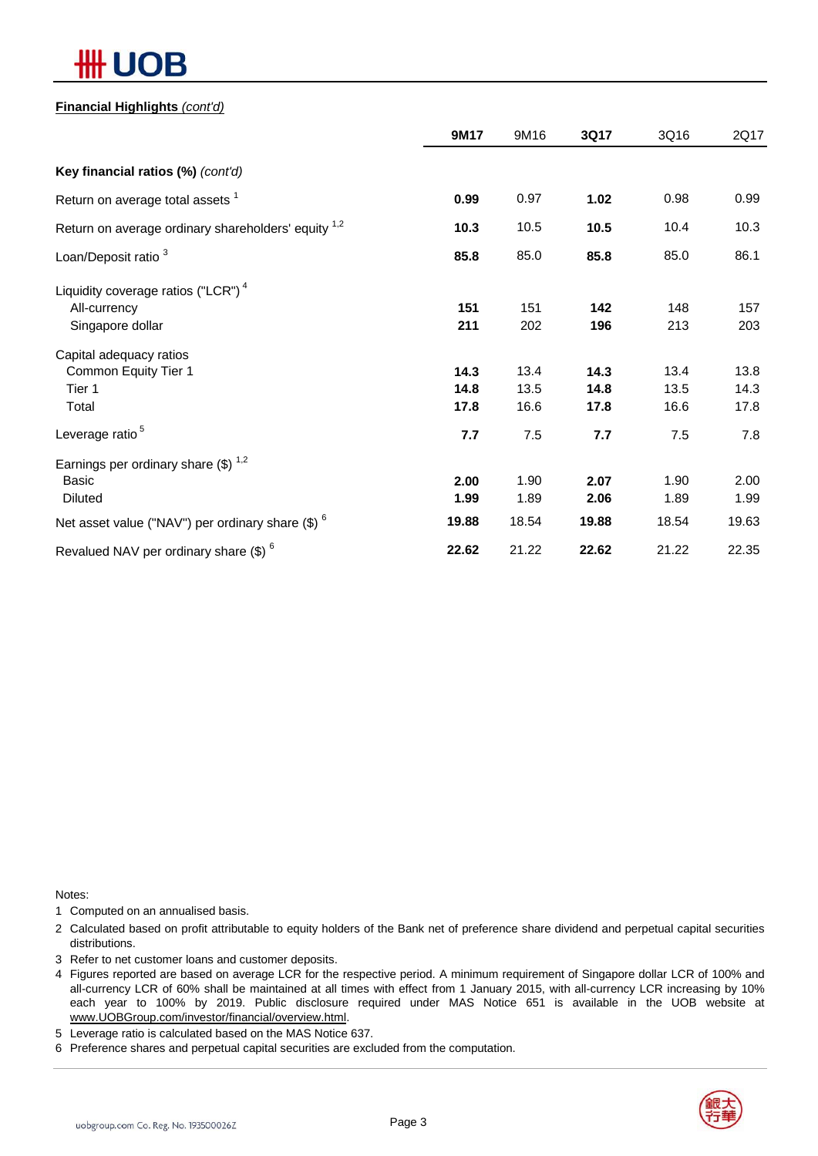# JВ

#### **Financial Highlights** *(cont'd)*

|                                                                | 9M17  | 9M16  | 3Q17  | 3Q16  | 2Q17  |
|----------------------------------------------------------------|-------|-------|-------|-------|-------|
| Key financial ratios (%) (cont'd)                              |       |       |       |       |       |
| Return on average total assets <sup>1</sup>                    | 0.99  | 0.97  | 1.02  | 0.98  | 0.99  |
| Return on average ordinary shareholders' equity <sup>1,2</sup> | 10.3  | 10.5  | 10.5  | 10.4  | 10.3  |
| Loan/Deposit ratio <sup>3</sup>                                | 85.8  | 85.0  | 85.8  | 85.0  | 86.1  |
| Liquidity coverage ratios ("LCR") <sup>4</sup>                 |       |       |       |       |       |
| All-currency                                                   | 151   | 151   | 142   | 148   | 157   |
| Singapore dollar                                               | 211   | 202   | 196   | 213   | 203   |
| Capital adequacy ratios                                        |       |       |       |       |       |
| Common Equity Tier 1                                           | 14.3  | 13.4  | 14.3  | 13.4  | 13.8  |
| Tier 1                                                         | 14.8  | 13.5  | 14.8  | 13.5  | 14.3  |
| Total                                                          | 17.8  | 16.6  | 17.8  | 16.6  | 17.8  |
| Leverage ratio <sup>5</sup>                                    | 7.7   | 7.5   | 7.7   | 7.5   | 7.8   |
| Earnings per ordinary share $(\$)^{1,2}$                       |       |       |       |       |       |
| Basic                                                          | 2.00  | 1.90  | 2.07  | 1.90  | 2.00  |
| <b>Diluted</b>                                                 | 1.99  | 1.89  | 2.06  | 1.89  | 1.99  |
| Net asset value ("NAV") per ordinary share $(\$)$ $^6$         | 19.88 | 18.54 | 19.88 | 18.54 | 19.63 |
| Revalued NAV per ordinary share $(\$)$ <sup>6</sup>            | 22.62 | 21.22 | 22.62 | 21.22 | 22.35 |

Notes:

1 Computed on an annualised basis.

2 Calculated based on profit attributable to equity holders of the Bank net of preference share dividend and perpetual capital securities distributions.

3 Refer to net customer loans and customer deposits.

4 Figures reported are based on average LCR for the respective period. A minimum requirement of Singapore dollar LCR of 100% and all-currency LCR of 60% shall be maintained at all times with effect from 1 January 2015, with all-currency LCR increasing by 10% each year to 100% by 2019. Public disclosure required under MAS Notice 651 is available in the UOB website at www.UOBGroup.com/investor/financial/overview.html.

5 Leverage ratio is calculated based on the MAS Notice 637.

6 Preference shares and perpetual capital securities are excluded from the computation.

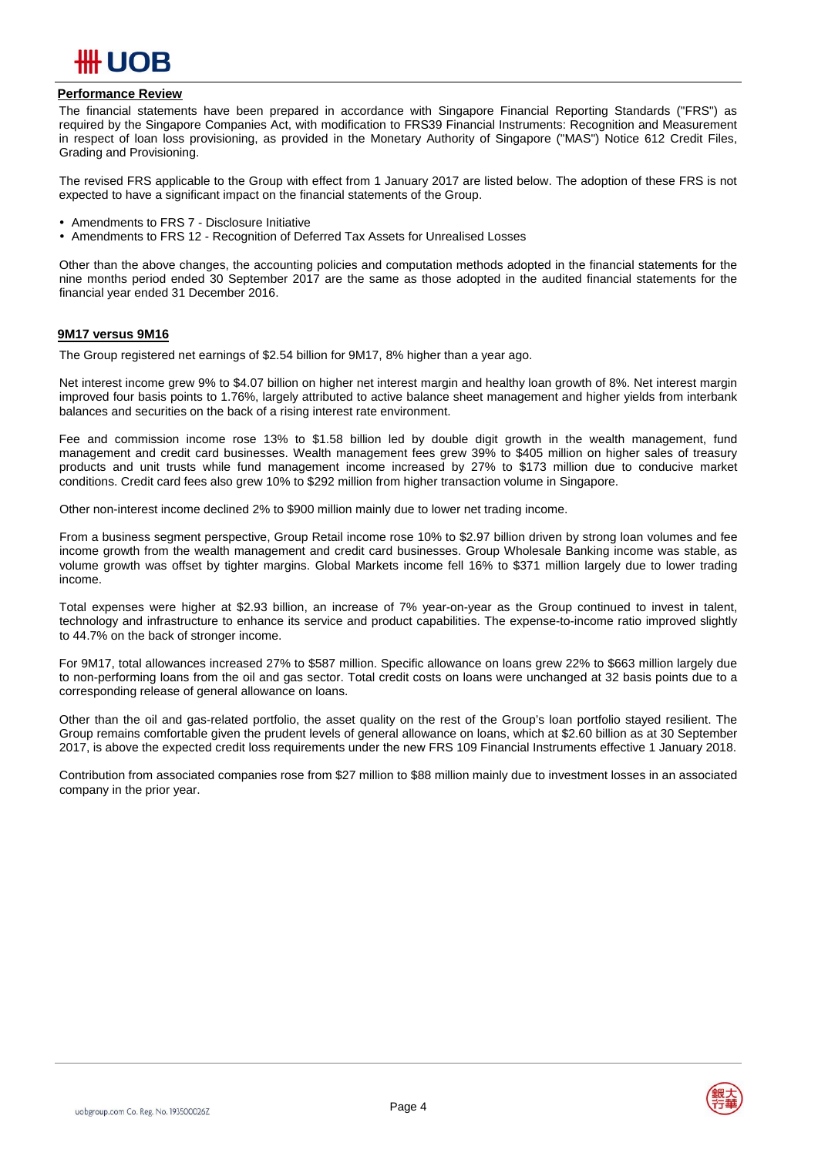

#### **Performance Review**

The financial statements have been prepared in accordance with Singapore Financial Reporting Standards ("FRS") as required by the Singapore Companies Act, with modification to FRS39 Financial Instruments: Recognition and Measurement in respect of loan loss provisioning, as provided in the Monetary Authority of Singapore ("MAS") Notice 612 Credit Files, Grading and Provisioning.

The revised FRS applicable to the Group with effect from 1 January 2017 are listed below. The adoption of these FRS is not expected to have a significant impact on the financial statements of the Group.

- Amendments to FRS 7 Disclosure Initiative<br>• Amendments to FRS 12 Recognition of Def
- Amendments to FRS 12 Recognition of Deferred Tax Assets for Unrealised Losses

Other than the above changes, the accounting policies and computation methods adopted in the financial statements for the nine months period ended 30 September 2017 are the same as those adopted in the audited financial statements for the financial year ended 31 December 2016.

#### **9M17 versus 9M16**

The Group registered net earnings of \$2.54 billion for 9M17, 8% higher than a year ago.

Net interest income grew 9% to \$4.07 billion on higher net interest margin and healthy loan growth of 8%. Net interest margin improved four basis points to 1.76%, largely attributed to active balance sheet management and higher yields from interbank balances and securities on the back of a rising interest rate environment.

Fee and commission income rose 13% to \$1.58 billion led by double digit growth in the wealth management, fund management and credit card businesses. Wealth management fees grew 39% to \$405 million on higher sales of treasury products and unit trusts while fund management income increased by 27% to \$173 million due to conducive market conditions. Credit card fees also grew 10% to \$292 million from higher transaction volume in Singapore.

Other non-interest income declined 2% to \$900 million mainly due to lower net trading income.

From a business segment perspective, Group Retail income rose 10% to \$2.97 billion driven by strong loan volumes and fee income growth from the wealth management and credit card businesses. Group Wholesale Banking income was stable, as volume growth was offset by tighter margins. Global Markets income fell 16% to \$371 million largely due to lower trading income.

Total expenses were higher at \$2.93 billion, an increase of 7% year-on-year as the Group continued to invest in talent, technology and infrastructure to enhance its service and product capabilities. The expense-to-income ratio improved slightly to 44.7% on the back of stronger income.

For 9M17, total allowances increased 27% to \$587 million. Specific allowance on loans grew 22% to \$663 million largely due to non-performing loans from the oil and gas sector. Total credit costs on loans were unchanged at 32 basis points due to a corresponding release of general allowance on loans.

Other than the oil and gas-related portfolio, the asset quality on the rest of the Group's loan portfolio stayed resilient. The Group remains comfortable given the prudent levels of general allowance on loans, which at \$2.60 billion as at 30 September 2017, is above the expected credit loss requirements under the new FRS 109 Financial Instruments effective 1 January 2018.

Contribution from associated companies rose from \$27 million to \$88 million mainly due to investment losses in an associated company in the prior year.

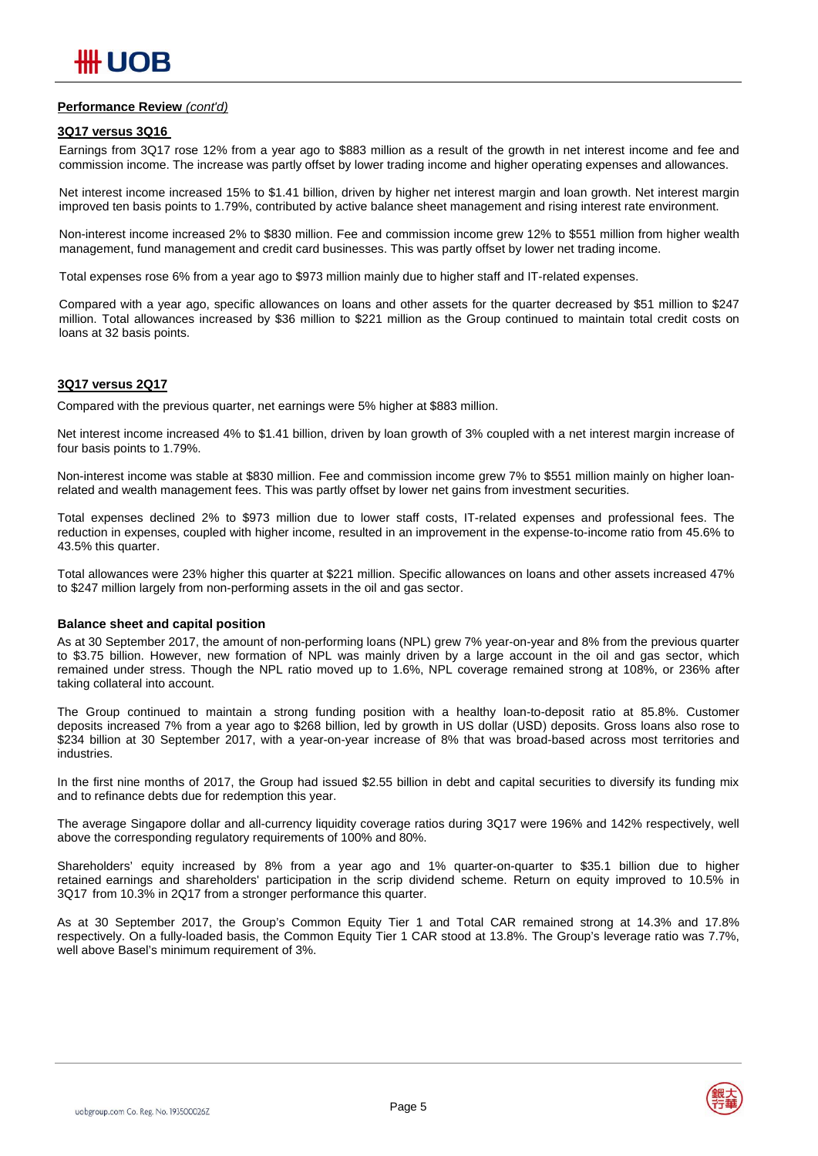#### **Performance Review** *(cont'd)*

#### **3Q17 versus 3Q16**

Earnings from 3Q17 rose 12% from a year ago to \$883 million as a result of the growth in net interest income and fee and commission income. The increase was partly offset by lower trading income and higher operating expenses and allowances.

Net interest income increased 15% to \$1.41 billion, driven by higher net interest margin and loan growth. Net interest margin improved ten basis points to 1.79%, contributed by active balance sheet management and rising interest rate environment.

Non-interest income increased 2% to \$830 million. Fee and commission income grew 12% to \$551 million from higher wealth management, fund management and credit card businesses. This was partly offset by lower net trading income.

Total expenses rose 6% from a year ago to \$973 million mainly due to higher staff and IT-related expenses.

Compared with a year ago, specific allowances on loans and other assets for the quarter decreased by \$51 million to \$247 million. Total allowances increased by \$36 million to \$221 million as the Group continued to maintain total credit costs on loans at 32 basis points.

#### **3Q17 versus 2Q17**

Compared with the previous quarter, net earnings were 5% higher at \$883 million.

Net interest income increased 4% to \$1.41 billion, driven by loan growth of 3% coupled with a net interest margin increase of four basis points to 1.79%.

Non-interest income was stable at \$830 million. Fee and commission income grew 7% to \$551 million mainly on higher loanrelated and wealth management fees. This was partly offset by lower net gains from investment securities.

Total expenses declined 2% to \$973 million due to lower staff costs, IT-related expenses and professional fees. The reduction in expenses, coupled with higher income, resulted in an improvement in the expense-to-income ratio from 45.6% to 43.5% this quarter.

Total allowances were 23% higher this quarter at \$221 million. Specific allowances on loans and other assets increased 47% to \$247 million largely from non-performing assets in the oil and gas sector.

#### **Balance sheet and capital position**

As at 30 September 2017, the amount of non-performing loans (NPL) grew 7% year-on-year and 8% from the previous quarter to \$3.75 billion. However, new formation of NPL was mainly driven by a large account in the oil and gas sector, which remained under stress. Though the NPL ratio moved up to 1.6%, NPL coverage remained strong at 108%, or 236% after taking collateral into account.

The Group continued to maintain a strong funding position with a healthy loan-to-deposit ratio at 85.8%. Customer deposits increased 7% from a year ago to \$268 billion, led by growth in US dollar (USD) deposits. Gross loans also rose to \$234 billion at 30 September 2017, with a year-on-year increase of 8% that was broad-based across most territories and industries.

In the first nine months of 2017, the Group had issued \$2.55 billion in debt and capital securities to diversify its funding mix and to refinance debts due for redemption this year.

The average Singapore dollar and all-currency liquidity coverage ratios during 3Q17 were 196% and 142% respectively, well above the corresponding regulatory requirements of 100% and 80%.

Shareholders' equity increased by 8% from a year ago and 1% quarter-on-quarter to \$35.1 billion due to higher retained earnings and shareholders' participation in the scrip dividend scheme. Return on equity improved to 10.5% in 3Q17 from 10.3% in 2Q17 from a stronger performance this quarter.

As at 30 September 2017, the Group's Common Equity Tier 1 and Total CAR remained strong at 14.3% and 17.8% respectively. On a fully-loaded basis, the Common Equity Tier 1 CAR stood at 13.8%. The Group's leverage ratio was 7.7%, well above Basel's minimum requirement of 3%.

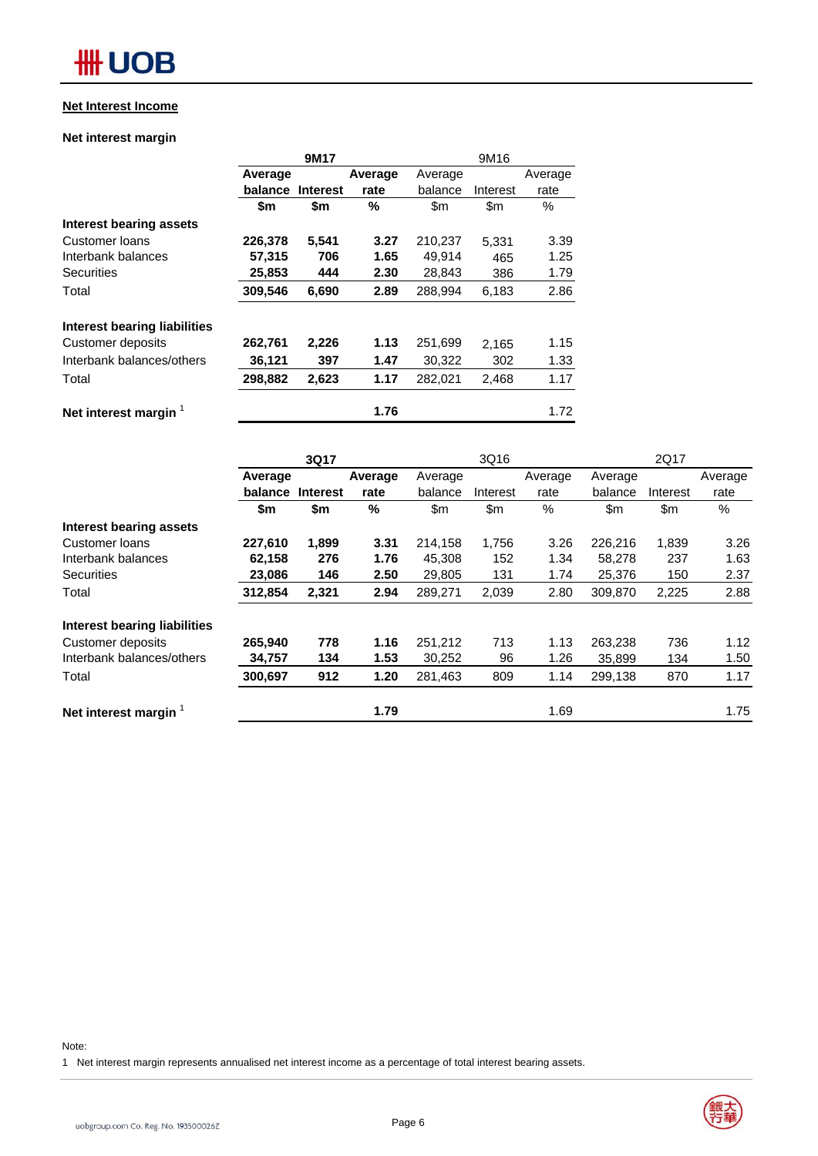# **HH UOB**

#### **Net Interest Income**

#### **Net interest margin**

|                                     |         | 9M17            |         |         | 9M16     |         |
|-------------------------------------|---------|-----------------|---------|---------|----------|---------|
|                                     | Average |                 | Average | Average |          | Average |
|                                     | balance | <b>Interest</b> | rate    | balance | Interest | rate    |
|                                     | \$m     | \$m             | %       | \$m     | \$m      | $\%$    |
| Interest bearing assets             |         |                 |         |         |          |         |
| Customer loans                      | 226,378 | 5,541           | 3.27    | 210,237 | 5.331    | 3.39    |
| Interbank balances                  | 57,315  | 706             | 1.65    | 49,914  | 465      | 1.25    |
| <b>Securities</b>                   | 25,853  | 444             | 2.30    | 28,843  | 386      | 1.79    |
| Total                               | 309,546 | 6,690           | 2.89    | 288,994 | 6,183    | 2.86    |
| <b>Interest bearing liabilities</b> |         |                 |         |         |          |         |
| Customer deposits                   | 262,761 | 2,226           | 1.13    | 251,699 | 2,165    | 1.15    |
| Interbank balances/others           | 36,121  | 397             | 1.47    | 30,322  | 302      | 1.33    |
| Total                               | 298,882 | 2,623           | 1.17    | 282,021 | 2,468    | 1.17    |
| Net interest margin                 |         |                 | 1.76    |         |          | 1.72    |

|                                  |         | 3Q17            |         |         | 3Q16     |         |         | 2Q17     |         |
|----------------------------------|---------|-----------------|---------|---------|----------|---------|---------|----------|---------|
|                                  | Average |                 | Average | Average |          | Average | Average |          | Average |
|                                  | balance | <b>Interest</b> | rate    | balance | Interest | rate    | balance | Interest | rate    |
|                                  | \$m     | \$m             | %       | \$m\$   | \$m      | %       | \$m     | \$m      | %       |
| Interest bearing assets          |         |                 |         |         |          |         |         |          |         |
| Customer loans                   | 227.610 | 1,899           | 3.31    | 214,158 | 1,756    | 3.26    | 226,216 | 1,839    | 3.26    |
| Interbank balances               | 62,158  | 276             | 1.76    | 45,308  | 152      | 1.34    | 58,278  | 237      | 1.63    |
| <b>Securities</b>                | 23,086  | 146             | 2.50    | 29,805  | 131      | 1.74    | 25,376  | 150      | 2.37    |
| Total                            | 312,854 | 2,321           | 2.94    | 289,271 | 2,039    | 2.80    | 309.870 | 2,225    | 2.88    |
| Interest bearing liabilities     |         |                 |         |         |          |         |         |          |         |
| Customer deposits                | 265,940 | 778             | 1.16    | 251,212 | 713      | 1.13    | 263,238 | 736      | 1.12    |
| Interbank balances/others        | 34,757  | 134             | 1.53    | 30,252  | 96       | 1.26    | 35,899  | 134      | 1.50    |
| Total                            | 300,697 | 912             | 1.20    | 281,463 | 809      | 1.14    | 299,138 | 870      | 1.17    |
| Net interest margin <sup>1</sup> |         |                 | 1.79    |         |          | 1.69    |         |          | 1.75    |

Note:

1 Net interest margin represents annualised net interest income as a percentage of total interest bearing assets.

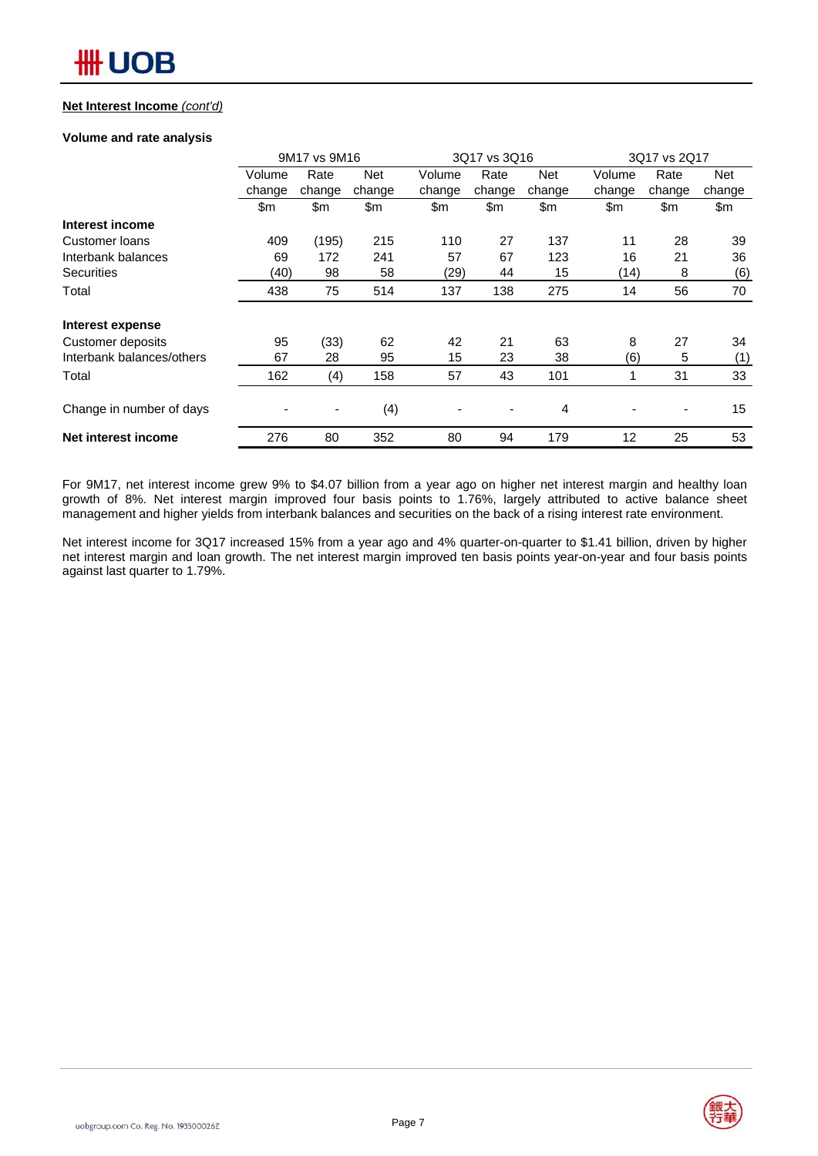#### **Net Interest Income** *(cont'd)*

#### **Volume and rate analysis**

|                           |        | 9M17 vs 9M16 |            |        | 3Q17 vs 3Q16 |        |                   | 3Q17 vs 2Q17                 |        |
|---------------------------|--------|--------------|------------|--------|--------------|--------|-------------------|------------------------------|--------|
|                           | Volume | Rate         | <b>Net</b> | Volume | Rate         | Net    | Volume            | Rate                         | Net    |
|                           | change | change       | change     | change | change       | change | change            | change                       | change |
|                           | \$m    | \$m          | \$m        | \$m    | \$m          | \$m    | \$m               | \$m                          | \$m    |
| Interest income           |        |              |            |        |              |        |                   |                              |        |
| Customer loans            | 409    | (195)        | 215        | 110    | 27           | 137    | 11                | 28                           | 39     |
| Interbank balances        | 69     | 172          | 241        | 57     | 67           | 123    | 16                | 21                           | 36     |
| <b>Securities</b>         | (40)   | 98           | 58         | (29)   | 44           | 15     | (14)              | 8                            | (6)    |
| Total                     | 438    | 75           | 514        | 137    | 138          | 275    | 14                | 56                           | 70     |
| Interest expense          |        |              |            |        |              |        |                   |                              |        |
| Customer deposits         | 95     | (33)         | 62         | 42     | 21           | 63     | 8                 | 27                           | 34     |
| Interbank balances/others | 67     | 28           | 95         | 15     | 23           | 38     | (6)               | 5                            | (1)    |
| Total                     | 162    | (4)          | 158        | 57     | 43           | 101    | 1                 | 31                           | 33     |
| Change in number of days  |        |              | (4)        |        |              | 4      |                   | $\qquad \qquad \blacksquare$ | 15     |
| Net interest income       | 276    | 80           | 352        | 80     | 94           | 179    | $12 \overline{ }$ | 25                           | 53     |

For 9M17, net interest income grew 9% to \$4.07 billion from a year ago on higher net interest margin and healthy loan growth of 8%. Net interest margin improved four basis points to 1.76%, largely attributed to active balance sheet management and higher yields from interbank balances and securities on the back of a rising interest rate environment.

Net interest income for 3Q17 increased 15% from a year ago and 4% quarter-on-quarter to \$1.41 billion, driven by higher net interest margin and loan growth. The net interest margin improved ten basis points year-on-year and four basis points against last quarter to 1.79%.

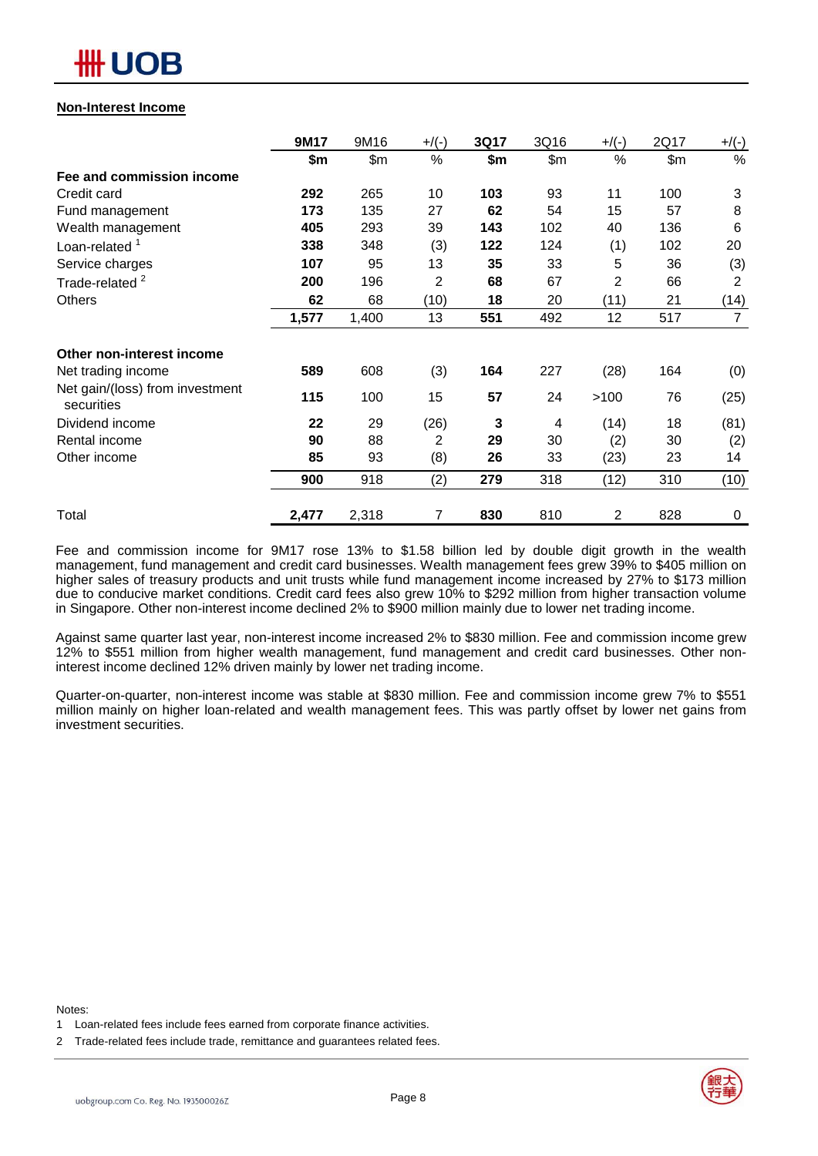

#### **Non-Interest Income**

|                                               | 9M17  | 9M16  | $+$ /(-) | 3Q17 | 3Q16  | $+$ /(-)       | 2Q17 | $+/(-)$        |
|-----------------------------------------------|-------|-------|----------|------|-------|----------------|------|----------------|
|                                               | \$m   | \$m\$ | %        | \$m  | \$m\$ | %              | \$m  | %              |
| Fee and commission income                     |       |       |          |      |       |                |      |                |
| Credit card                                   | 292   | 265   | 10       | 103  | 93    | 11             | 100  | 3              |
| Fund management                               | 173   | 135   | 27       | 62   | 54    | 15             | 57   | 8              |
| Wealth management                             | 405   | 293   | 39       | 143  | 102   | 40             | 136  | 6              |
| Loan-related <sup>1</sup>                     | 338   | 348   | (3)      | 122  | 124   | (1)            | 102  | 20             |
| Service charges                               | 107   | 95    | 13       | 35   | 33    | 5              | 36   | (3)            |
| Trade-related <sup>2</sup>                    | 200   | 196   | 2        | 68   | 67    | $\overline{2}$ | 66   | $\overline{2}$ |
| Others                                        | 62    | 68    | (10)     | 18   | 20    | (11)           | 21   | (14)           |
|                                               | 1,577 | 1,400 | 13       | 551  | 492   | 12             | 517  | $\overline{7}$ |
| Other non-interest income                     |       |       |          |      |       |                |      |                |
| Net trading income                            | 589   | 608   | (3)      | 164  | 227   | (28)           | 164  | (0)            |
| Net gain/(loss) from investment<br>securities | 115   | 100   | 15       | 57   | 24    | >100           | 76   | (25)           |
| Dividend income                               | 22    | 29    | (26)     | 3    | 4     | (14)           | 18   | (81)           |
| Rental income                                 | 90    | 88    | 2        | 29   | 30    | (2)            | 30   | (2)            |
| Other income                                  | 85    | 93    | (8)      | 26   | 33    | (23)           | 23   | 14             |
|                                               | 900   | 918   | (2)      | 279  | 318   | (12)           | 310  | (10)           |
| Total                                         | 2,477 | 2,318 | 7        | 830  | 810   | 2              | 828  | 0              |

Fee and commission income for 9M17 rose 13% to \$1.58 billion led by double digit growth in the wealth management, fund management and credit card businesses. Wealth management fees grew 39% to \$405 million on higher sales of treasury products and unit trusts while fund management income increased by 27% to \$173 million due to conducive market conditions. Credit card fees also grew 10% to \$292 million from higher transaction volume in Singapore. Other non-interest income declined 2% to \$900 million mainly due to lower net trading income.

Against same quarter last year, non-interest income increased 2% to \$830 million. Fee and commission income grew 12% to \$551 million from higher wealth management, fund management and credit card businesses. Other noninterest income declined 12% driven mainly by lower net trading income.

Quarter-on-quarter, non-interest income was stable at \$830 million. Fee and commission income grew 7% to \$551 million mainly on higher loan-related and wealth management fees. This was partly offset by lower net gains from investment securities.

Notes:



<sup>1</sup> Loan-related fees include fees earned from corporate finance activities.

<sup>2</sup> Trade-related fees include trade, remittance and guarantees related fees.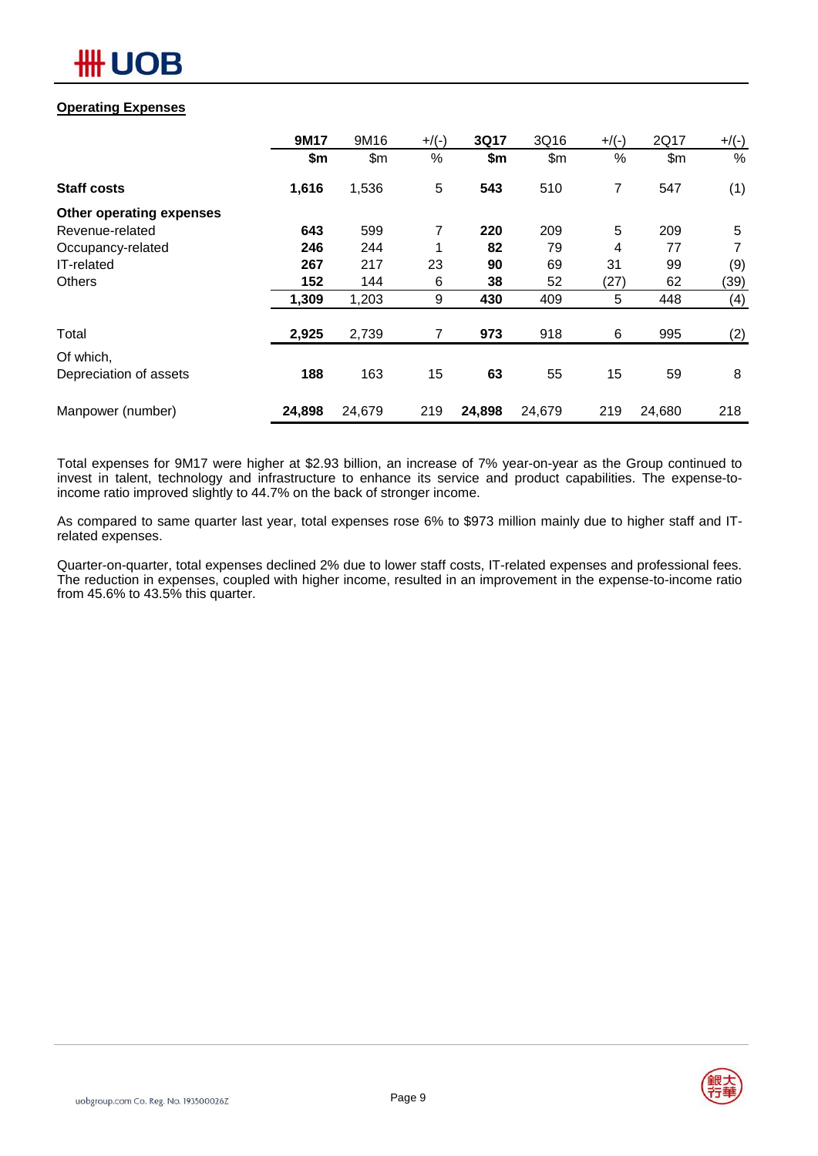

### **Operating Expenses**

|                          | 9M17   | 9M16   | $+$ /(-) | 3Q17   | 3Q16   | $+$ /(-) | 2Q17   | $+/(-)$ |
|--------------------------|--------|--------|----------|--------|--------|----------|--------|---------|
|                          | \$m    | \$m\$  | $\%$     | \$m    | \$m\$  | $\%$     | \$m\$  | %       |
| <b>Staff costs</b>       | 1,616  | 1,536  | 5        | 543    | 510    | 7        | 547    | (1)     |
| Other operating expenses |        |        |          |        |        |          |        |         |
| Revenue-related          | 643    | 599    | 7        | 220    | 209    | 5        | 209    | 5       |
| Occupancy-related        | 246    | 244    |          | 82     | 79     | 4        | 77     | 7       |
| IT-related               | 267    | 217    | 23       | 90     | 69     | 31       | 99     | (9)     |
| <b>Others</b>            | 152    | 144    | 6        | 38     | 52     | (27)     | 62     | (39)    |
|                          | 1,309  | 1,203  | 9        | 430    | 409    | 5        | 448    | (4)     |
| Total                    | 2,925  | 2,739  | 7        | 973    | 918    | 6        | 995    | (2)     |
| Of which,                |        |        |          |        |        |          |        |         |
| Depreciation of assets   | 188    | 163    | 15       | 63     | 55     | 15       | 59     | 8       |
| Manpower (number)        | 24,898 | 24,679 | 219      | 24,898 | 24,679 | 219      | 24,680 | 218     |

Total expenses for 9M17 were higher at \$2.93 billion, an increase of 7% year-on-year as the Group continued to invest in talent, technology and infrastructure to enhance its service and product capabilities. The expense-toincome ratio improved slightly to 44.7% on the back of stronger income.

As compared to same quarter last year, total expenses rose 6% to \$973 million mainly due to higher staff and ITrelated expenses.

Quarter-on-quarter, total expenses declined 2% due to lower staff costs, IT-related expenses and professional fees. The reduction in expenses, coupled with higher income, resulted in an improvement in the expense-to-income ratio from 45.6% to 43.5% this quarter.

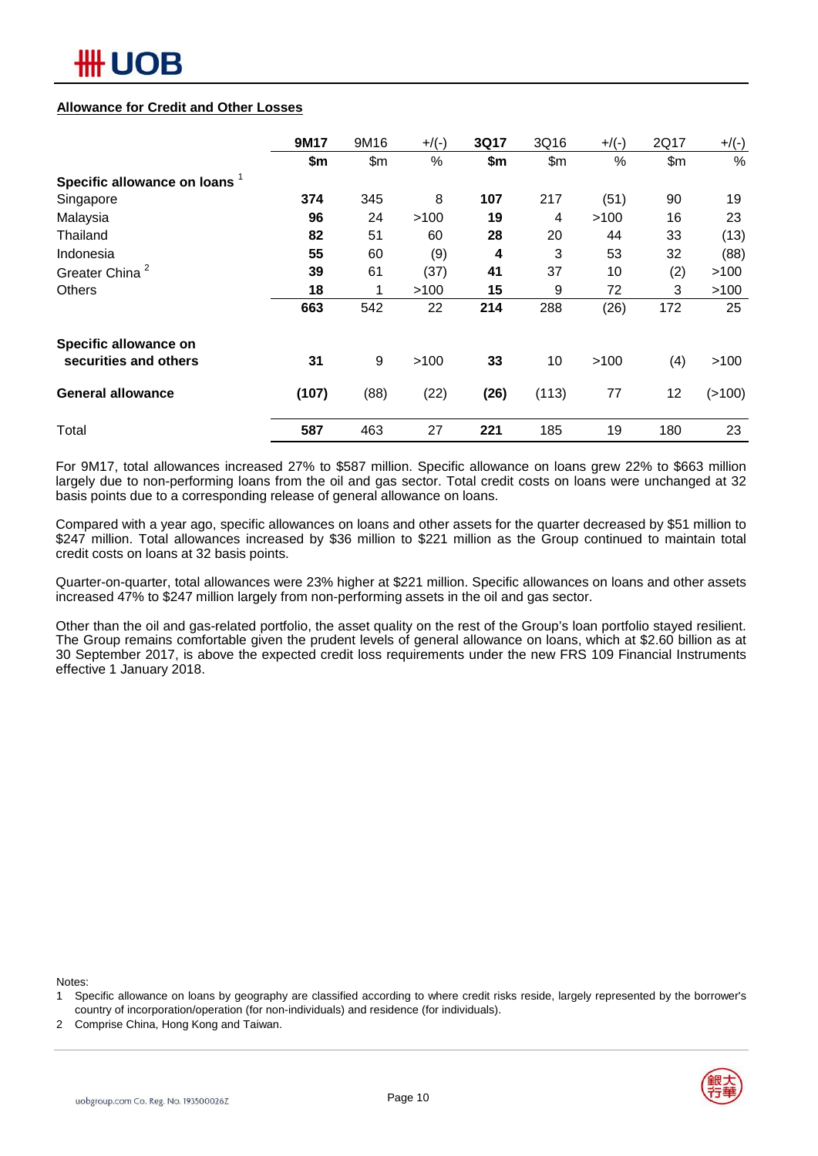#### **Allowance for Credit and Other Losses**

|                               | 9M17  | 9M16 | $+$ /(-) | 3Q17 | 3Q16  | $+$ /(-) | 2Q17  | $+/(-)$  |
|-------------------------------|-------|------|----------|------|-------|----------|-------|----------|
|                               | \$m   | \$m  | $\%$     | \$m  | \$m\$ | %        | \$m\$ | %        |
| Specific allowance on loans 1 |       |      |          |      |       |          |       |          |
| Singapore                     | 374   | 345  | 8        | 107  | 217   | (51)     | 90    | 19       |
| Malaysia                      | 96    | 24   | >100     | 19   | 4     | >100     | 16    | 23       |
| Thailand                      | 82    | 51   | 60       | 28   | 20    | 44       | 33    | (13)     |
| Indonesia                     | 55    | 60   | (9)      | 4    | 3     | 53       | 32    | (88)     |
| Greater China <sup>2</sup>    | 39    | 61   | (37)     | 41   | 37    | 10       | (2)   | >100     |
| <b>Others</b>                 | 18    | 1    | >100     | 15   | 9     | 72       | 3     | >100     |
|                               | 663   | 542  | 22       | 214  | 288   | (26)     | 172   | 25       |
| Specific allowance on         |       |      |          |      |       |          |       |          |
| securities and others         | 31    | 9    | >100     | 33   | 10    | >100     | (4)   | >100     |
| <b>General allowance</b>      | (107) | (88) | (22)     | (26) | (113) | 77       | 12    | ( > 100) |
| Total                         | 587   | 463  | 27       | 221  | 185   | 19       | 180   | 23       |

For 9M17, total allowances increased 27% to \$587 million. Specific allowance on loans grew 22% to \$663 million largely due to non-performing loans from the oil and gas sector. Total credit costs on loans were unchanged at 32 basis points due to a corresponding release of general allowance on loans.

Compared with a year ago, specific allowances on loans and other assets for the quarter decreased by \$51 million to \$247 million. Total allowances increased by \$36 million to \$221 million as the Group continued to maintain total credit costs on loans at 32 basis points.

Quarter-on-quarter, total allowances were 23% higher at \$221 million. Specific allowances on loans and other assets increased 47% to \$247 million largely from non-performing assets in the oil and gas sector.

Other than the oil and gas-related portfolio, the asset quality on the rest of the Group's loan portfolio stayed resilient. The Group remains comfortable given the prudent levels of general allowance on loans, which at \$2.60 billion as at 30 September 2017, is above the expected credit loss requirements under the new FRS 109 Financial Instruments effective 1 January 2018.

Notes:

2 Comprise China, Hong Kong and Taiwan.



<sup>1</sup> Specific allowance on loans by geography are classified according to where credit risks reside, largely represented by the borrower's country of incorporation/operation (for non-individuals) and residence (for individuals).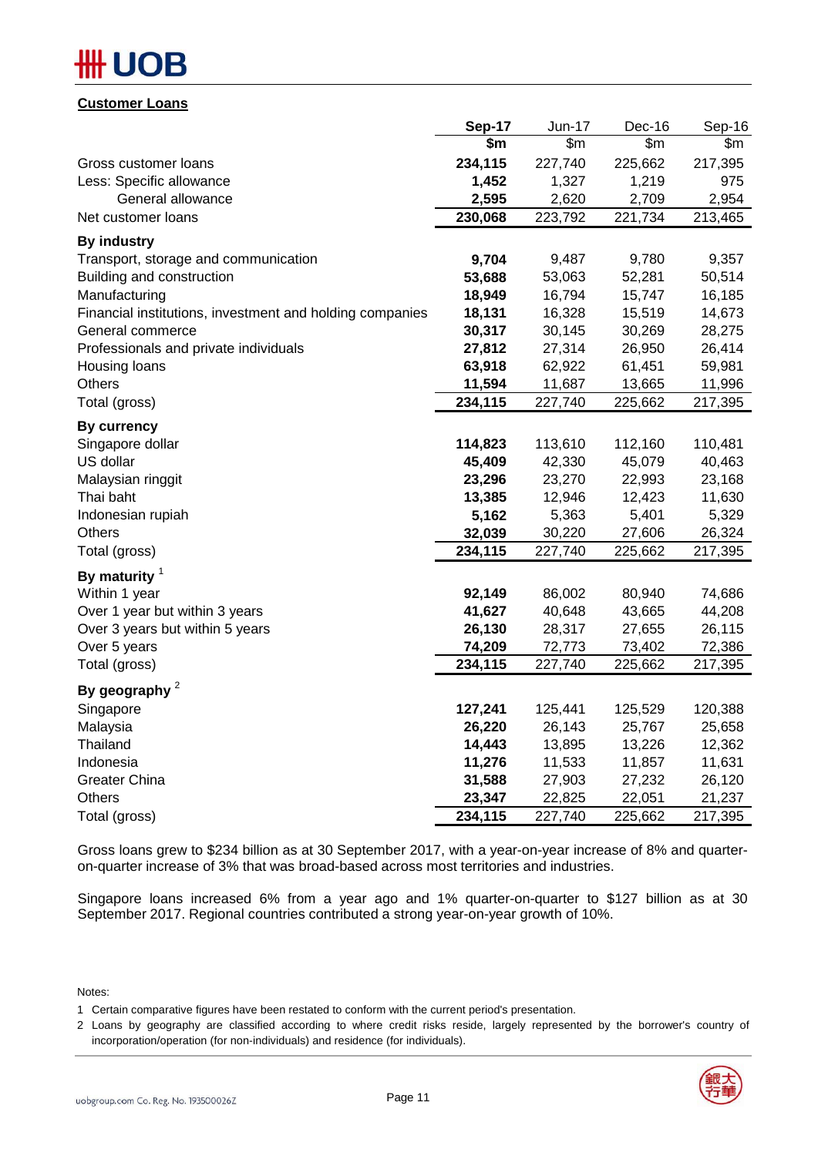# DB

**Customer Loans**

| OUOLOIIIVI LOUIIJ                                        |         |         |               |         |
|----------------------------------------------------------|---------|---------|---------------|---------|
|                                                          | Sep-17  | Jun-17  | Dec-16        | Sep-16  |
|                                                          | \$m\$   | \$m\$   | $\mathsf{Sm}$ | \$m\$   |
| Gross customer loans                                     | 234,115 | 227,740 | 225,662       | 217,395 |
| Less: Specific allowance                                 | 1,452   | 1,327   | 1,219         | 975     |
| General allowance                                        | 2,595   | 2,620   | 2,709         | 2,954   |
| Net customer loans                                       | 230,068 | 223,792 | 221,734       | 213,465 |
| <b>By industry</b>                                       |         |         |               |         |
| Transport, storage and communication                     | 9,704   | 9,487   | 9,780         | 9,357   |
| Building and construction                                | 53,688  | 53,063  | 52,281        | 50,514  |
| Manufacturing                                            | 18,949  | 16,794  | 15,747        | 16,185  |
| Financial institutions, investment and holding companies | 18,131  | 16,328  | 15,519        | 14,673  |
| General commerce                                         | 30,317  | 30,145  | 30,269        | 28,275  |
| Professionals and private individuals                    | 27,812  | 27,314  | 26,950        | 26,414  |
| Housing loans                                            | 63,918  | 62,922  | 61,451        | 59,981  |
| <b>Others</b>                                            | 11,594  | 11,687  | 13,665        | 11,996  |
| Total (gross)                                            | 234,115 | 227,740 | 225,662       | 217,395 |
| <b>By currency</b>                                       |         |         |               |         |
| Singapore dollar                                         | 114,823 | 113,610 | 112,160       | 110,481 |
| US dollar                                                | 45,409  | 42,330  | 45,079        | 40,463  |
| Malaysian ringgit                                        | 23,296  | 23,270  | 22,993        | 23,168  |
| Thai baht                                                | 13,385  | 12,946  | 12,423        | 11,630  |
| Indonesian rupiah                                        | 5,162   | 5,363   | 5,401         | 5,329   |
| <b>Others</b>                                            | 32,039  | 30,220  | 27,606        | 26,324  |
| Total (gross)                                            | 234,115 | 227,740 | 225,662       | 217,395 |
| By maturity $1$                                          |         |         |               |         |
| Within 1 year                                            | 92,149  | 86,002  | 80,940        | 74,686  |
| Over 1 year but within 3 years                           | 41,627  | 40,648  | 43,665        | 44,208  |
| Over 3 years but within 5 years                          | 26,130  | 28,317  | 27,655        | 26,115  |
| Over 5 years                                             | 74,209  | 72,773  | 73,402        | 72,386  |
| Total (gross)                                            | 234,115 | 227,740 | 225,662       | 217,395 |
| By geography $2$                                         |         |         |               |         |
| Singapore                                                | 127,241 | 125,441 | 125,529       | 120,388 |
| Malaysia                                                 | 26,220  | 26,143  | 25,767        | 25,658  |
| Thailand                                                 | 14,443  | 13,895  | 13,226        | 12,362  |
| Indonesia                                                | 11,276  | 11,533  | 11,857        | 11,631  |
| Greater China                                            | 31,588  | 27,903  | 27,232        | 26,120  |
| Others                                                   | 23,347  | 22,825  | 22,051        | 21,237  |
| Total (gross)                                            | 234,115 | 227,740 | 225,662       | 217,395 |

Gross loans grew to \$234 billion as at 30 September 2017, with a year-on-year increase of 8% and quarteron-quarter increase of 3% that was broad-based across most territories and industries.

Singapore loans increased 6% from a year ago and 1% quarter-on-quarter to \$127 billion as at 30 September 2017. Regional countries contributed a strong year-on-year growth of 10%.

Notes:

<sup>2</sup> Loans by geography are classified according to where credit risks reside, largely represented by the borrower's country of incorporation/operation (for non-individuals) and residence (for individuals).



<sup>1</sup> Certain comparative figures have been restated to conform with the current period's presentation.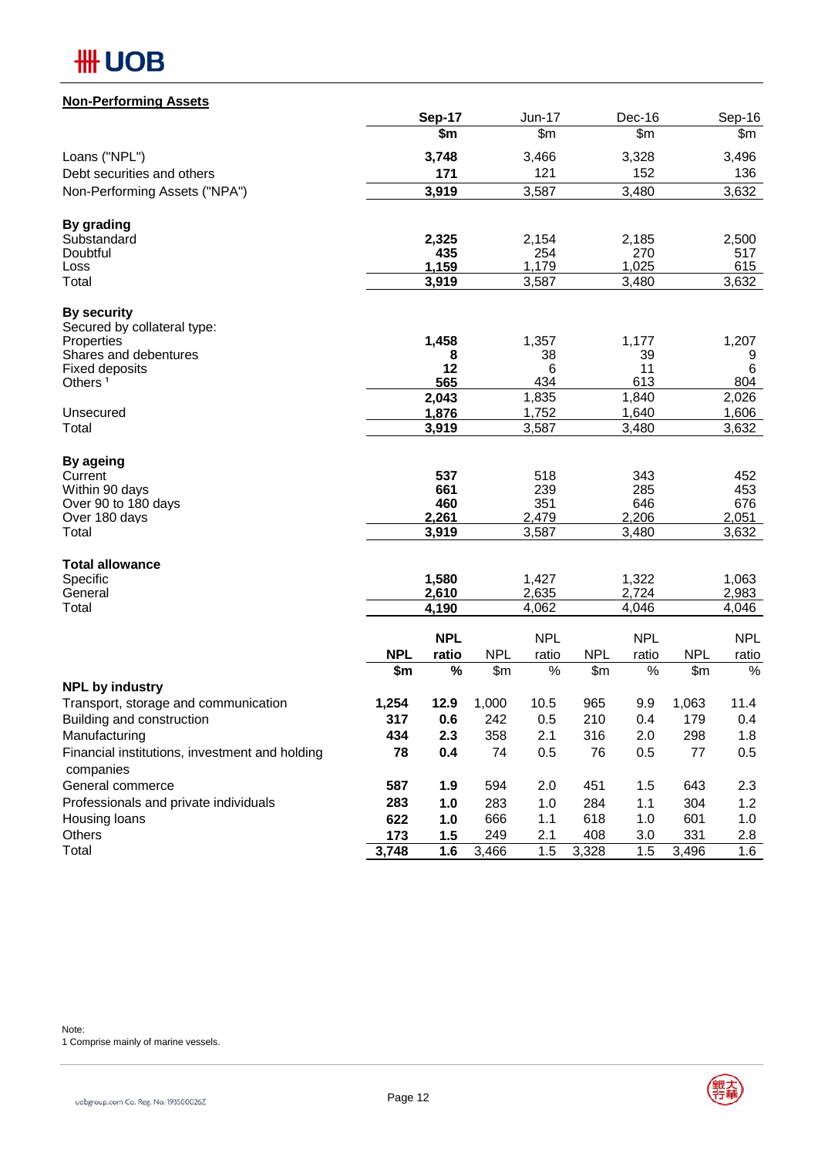

### **Non-Performing Assets**

|                                                             |                   | Sep-17         |                     | <b>Jun-17</b>    |                              | Dec-16           |                   | Sep-16         |
|-------------------------------------------------------------|-------------------|----------------|---------------------|------------------|------------------------------|------------------|-------------------|----------------|
|                                                             |                   | \$m            |                     | $\overline{\$m}$ |                              | $\overline{\$m}$ |                   | \$m            |
| Loans ("NPL")                                               |                   | 3,748          |                     | 3,466            |                              | 3,328            |                   | 3,496          |
| Debt securities and others                                  |                   | 171            |                     | 121              |                              | 152              |                   | 136            |
| Non-Performing Assets ("NPA")                               |                   | 3,919          |                     | 3,587            |                              | 3,480            |                   | 3,632          |
| <b>By grading</b>                                           |                   |                |                     |                  |                              |                  |                   |                |
| Substandard                                                 |                   | 2,325          |                     | 2,154            |                              | 2,185            |                   | 2,500          |
| Doubtful<br>Loss                                            |                   | 435<br>1,159   |                     | 254<br>1,179     |                              | 270<br>1,025     |                   | 517<br>615     |
| Total                                                       |                   | 3,919          |                     | 3,587            |                              | 3,480            |                   | 3,632          |
| <b>By security</b>                                          |                   |                |                     |                  |                              |                  |                   |                |
| Secured by collateral type:                                 |                   |                |                     |                  |                              |                  |                   |                |
| Properties                                                  |                   | 1,458          |                     | 1,357            |                              | 1,177            |                   | 1,207          |
| Shares and debentures<br><b>Fixed deposits</b>              |                   | 8<br>12        |                     | 38<br>6          |                              | 39<br>11         |                   | 9<br>6         |
| Others <sup>1</sup>                                         |                   | 565            |                     | 434              |                              | 613              |                   | 804            |
|                                                             |                   | 2,043          |                     | 1,835            |                              | 1,840            |                   | 2,026          |
| Unsecured                                                   |                   | 1,876          |                     | 1,752            |                              | 1,640            |                   | 1,606          |
| Total                                                       |                   | 3,919          |                     | 3,587            |                              | 3,480            |                   | 3,632          |
| By ageing                                                   |                   |                |                     |                  |                              |                  |                   |                |
| Current<br>Within 90 days                                   |                   | 537<br>661     |                     | 518<br>239       |                              | 343<br>285       |                   | 452<br>453     |
| Over 90 to 180 days                                         |                   | 460            |                     | 351              |                              | 646              |                   | 676            |
| Over 180 days                                               |                   | 2,261          |                     | 2,479            |                              | 2,206            |                   | 2,051          |
| Total                                                       |                   | 3,919          |                     | 3,587            |                              | 3,480            |                   | 3,632          |
| <b>Total allowance</b>                                      |                   |                |                     |                  |                              |                  |                   |                |
| Specific                                                    |                   | 1,580          |                     | 1,427            |                              | 1,322            |                   | 1,063          |
| General<br>Total                                            |                   | 2,610<br>4,190 |                     | 2,635<br>4,062   |                              | 2,724<br>4,046   |                   | 2,983<br>4,046 |
|                                                             |                   |                |                     |                  |                              |                  |                   |                |
|                                                             |                   | <b>NPL</b>     |                     | <b>NPL</b>       |                              | <b>NPL</b>       |                   | <b>NPL</b>     |
|                                                             | <b>NPL</b><br>\$m | ratio<br>$\%$  | <b>NPL</b><br>\$m\$ | ratio<br>%       | <b>NPL</b><br>$\mathsf{S}$ m | ratio<br>%       | <b>NPL</b><br>\$m | ratio<br>%     |
| <b>NPL by industry</b>                                      |                   |                |                     |                  |                              |                  |                   |                |
| Transport, storage and communication                        | 1,254             | 12.9           | 1,000               | 10.5             | 965                          | 9.9              | 1,063             | 11.4           |
| Building and construction                                   | 317               | 0.6            | 242                 | 0.5              | 210                          | 0.4              | 179               | 0.4            |
| Manufacturing                                               | 434               | 2.3            | 358                 | 2.1              | 316                          | 2.0              | 298               | 1.8            |
| Financial institutions, investment and holding<br>companies | 78                | 0.4            | 74                  | 0.5              | 76                           | 0.5              | 77                | 0.5            |
| General commerce                                            | 587               | 1.9            | 594                 | 2.0              | 451                          | 1.5              | 643               | 2.3            |
| Professionals and private individuals                       | 283               | 1.0            | 283                 | 1.0              | 284                          | 1.1              | 304               | 1.2            |
| Housing loans                                               | 622               | 1.0            | 666                 | 1.1              | 618                          | 1.0              | 601               | 1.0            |
| Others                                                      | 173               | 1.5            | 249                 | 2.1              | 408                          | 3.0              | 331               | 2.8            |
| Total                                                       | 3,748             | 1.6            | 3,466               | 1.5              | 3,328                        | 1.5              | 3,496             | 1.6            |

1 Comprise mainly of marine vessels.



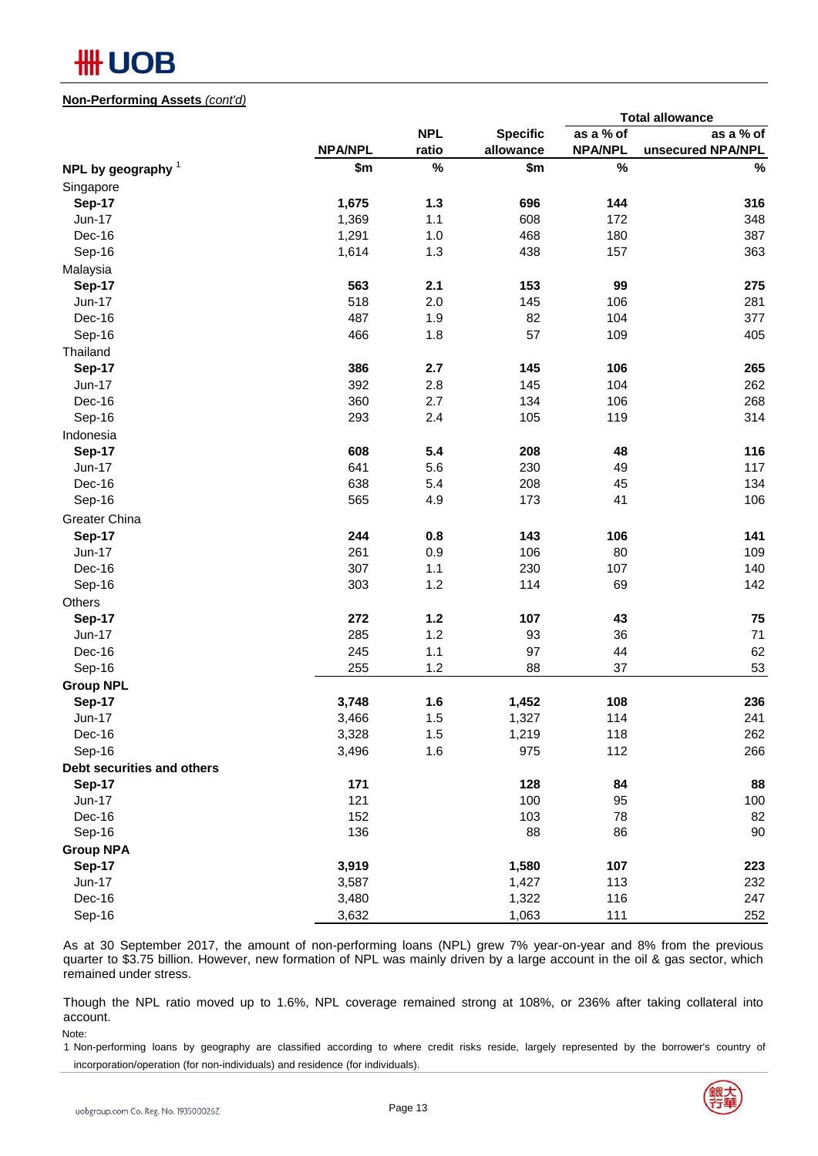

#### **Non-Performing Assets** *(cont'd)*

| <b>NPL</b><br>as a % of<br><b>Specific</b><br><b>NPA/NPL</b><br>ratio<br>allowance<br><b>NPA/NPL</b><br>$\%$<br>$\%$<br>\$m<br>\$m<br>NPL by geography $1$<br>Singapore<br>$1.3$<br>696<br><b>Sep-17</b><br>1,675<br>144<br>1,369<br>1.1<br>608<br>Jun-17<br>172<br>1,291<br>1.0<br>Dec-16<br>468<br>180<br>1,614<br>1.3<br>438<br>Sep-16<br>157<br>Malaysia<br>563<br>2.1<br>153<br>99<br><b>Sep-17</b><br>518<br>2.0<br>Jun-17<br>145<br>106<br>487<br>1.9<br>82<br>Dec-16<br>104<br>466<br>1.8<br>57<br>Sep-16<br>109<br>Thailand<br>386<br>145<br>106<br><b>Sep-17</b><br>2.7<br>392<br>2.8<br>145<br>104<br>Jun-17<br>360<br>2.7<br>134<br>106<br>Dec-16<br>293<br>2.4<br>105<br>Sep-16<br>119<br>Indonesia<br>608<br>5.4<br>208<br><b>Sep-17</b><br>48<br>641<br>5.6<br>230<br>Jun-17<br>49<br>638<br>208<br>Dec-16<br>5.4<br>45<br>565<br>4.9<br>173<br>41<br>Sep-16<br>Greater China<br>244<br>0.8<br>143<br>106<br><b>Sep-17</b><br>261<br>0.9<br>106<br>80<br><b>Jun-17</b><br>307<br>1.1<br>230<br>107<br>Dec-16<br>1.2<br>303<br>114<br>Sep-16<br>69<br>Others<br>272<br>$1.2$<br>107<br>43<br><b>Sep-17</b><br>285<br>1.2<br>36<br><b>Jun-17</b><br>93<br>245<br>1.1<br>97<br>44<br>Dec-16<br>1.2<br>255<br>88<br>37<br>Sep-16<br><b>Group NPL</b><br>1.6<br>1,452<br>108<br><b>Sep-17</b><br>3,748<br>1.5<br>114<br>3,466<br>1,327<br><b>Jun-17</b><br>3,328<br>$1.5$<br>1,219<br>118<br>Dec-16 |  |  | <b>Total allowance</b> |
|---------------------------------------------------------------------------------------------------------------------------------------------------------------------------------------------------------------------------------------------------------------------------------------------------------------------------------------------------------------------------------------------------------------------------------------------------------------------------------------------------------------------------------------------------------------------------------------------------------------------------------------------------------------------------------------------------------------------------------------------------------------------------------------------------------------------------------------------------------------------------------------------------------------------------------------------------------------------------------------------------------------------------------------------------------------------------------------------------------------------------------------------------------------------------------------------------------------------------------------------------------------------------------------------------------------------------------------------------------------------------------------------------------------|--|--|------------------------|
|                                                                                                                                                                                                                                                                                                                                                                                                                                                                                                                                                                                                                                                                                                                                                                                                                                                                                                                                                                                                                                                                                                                                                                                                                                                                                                                                                                                                               |  |  | as a % of              |
|                                                                                                                                                                                                                                                                                                                                                                                                                                                                                                                                                                                                                                                                                                                                                                                                                                                                                                                                                                                                                                                                                                                                                                                                                                                                                                                                                                                                               |  |  | unsecured NPA/NPL      |
|                                                                                                                                                                                                                                                                                                                                                                                                                                                                                                                                                                                                                                                                                                                                                                                                                                                                                                                                                                                                                                                                                                                                                                                                                                                                                                                                                                                                               |  |  | $\%$                   |
|                                                                                                                                                                                                                                                                                                                                                                                                                                                                                                                                                                                                                                                                                                                                                                                                                                                                                                                                                                                                                                                                                                                                                                                                                                                                                                                                                                                                               |  |  |                        |
|                                                                                                                                                                                                                                                                                                                                                                                                                                                                                                                                                                                                                                                                                                                                                                                                                                                                                                                                                                                                                                                                                                                                                                                                                                                                                                                                                                                                               |  |  | 316                    |
|                                                                                                                                                                                                                                                                                                                                                                                                                                                                                                                                                                                                                                                                                                                                                                                                                                                                                                                                                                                                                                                                                                                                                                                                                                                                                                                                                                                                               |  |  | 348                    |
|                                                                                                                                                                                                                                                                                                                                                                                                                                                                                                                                                                                                                                                                                                                                                                                                                                                                                                                                                                                                                                                                                                                                                                                                                                                                                                                                                                                                               |  |  | 387                    |
|                                                                                                                                                                                                                                                                                                                                                                                                                                                                                                                                                                                                                                                                                                                                                                                                                                                                                                                                                                                                                                                                                                                                                                                                                                                                                                                                                                                                               |  |  | 363                    |
|                                                                                                                                                                                                                                                                                                                                                                                                                                                                                                                                                                                                                                                                                                                                                                                                                                                                                                                                                                                                                                                                                                                                                                                                                                                                                                                                                                                                               |  |  |                        |
|                                                                                                                                                                                                                                                                                                                                                                                                                                                                                                                                                                                                                                                                                                                                                                                                                                                                                                                                                                                                                                                                                                                                                                                                                                                                                                                                                                                                               |  |  | 275                    |
|                                                                                                                                                                                                                                                                                                                                                                                                                                                                                                                                                                                                                                                                                                                                                                                                                                                                                                                                                                                                                                                                                                                                                                                                                                                                                                                                                                                                               |  |  | 281                    |
|                                                                                                                                                                                                                                                                                                                                                                                                                                                                                                                                                                                                                                                                                                                                                                                                                                                                                                                                                                                                                                                                                                                                                                                                                                                                                                                                                                                                               |  |  | 377                    |
|                                                                                                                                                                                                                                                                                                                                                                                                                                                                                                                                                                                                                                                                                                                                                                                                                                                                                                                                                                                                                                                                                                                                                                                                                                                                                                                                                                                                               |  |  | 405                    |
|                                                                                                                                                                                                                                                                                                                                                                                                                                                                                                                                                                                                                                                                                                                                                                                                                                                                                                                                                                                                                                                                                                                                                                                                                                                                                                                                                                                                               |  |  |                        |
|                                                                                                                                                                                                                                                                                                                                                                                                                                                                                                                                                                                                                                                                                                                                                                                                                                                                                                                                                                                                                                                                                                                                                                                                                                                                                                                                                                                                               |  |  | 265                    |
|                                                                                                                                                                                                                                                                                                                                                                                                                                                                                                                                                                                                                                                                                                                                                                                                                                                                                                                                                                                                                                                                                                                                                                                                                                                                                                                                                                                                               |  |  | 262                    |
|                                                                                                                                                                                                                                                                                                                                                                                                                                                                                                                                                                                                                                                                                                                                                                                                                                                                                                                                                                                                                                                                                                                                                                                                                                                                                                                                                                                                               |  |  | 268                    |
|                                                                                                                                                                                                                                                                                                                                                                                                                                                                                                                                                                                                                                                                                                                                                                                                                                                                                                                                                                                                                                                                                                                                                                                                                                                                                                                                                                                                               |  |  | 314                    |
|                                                                                                                                                                                                                                                                                                                                                                                                                                                                                                                                                                                                                                                                                                                                                                                                                                                                                                                                                                                                                                                                                                                                                                                                                                                                                                                                                                                                               |  |  |                        |
|                                                                                                                                                                                                                                                                                                                                                                                                                                                                                                                                                                                                                                                                                                                                                                                                                                                                                                                                                                                                                                                                                                                                                                                                                                                                                                                                                                                                               |  |  | 116                    |
|                                                                                                                                                                                                                                                                                                                                                                                                                                                                                                                                                                                                                                                                                                                                                                                                                                                                                                                                                                                                                                                                                                                                                                                                                                                                                                                                                                                                               |  |  | 117                    |
|                                                                                                                                                                                                                                                                                                                                                                                                                                                                                                                                                                                                                                                                                                                                                                                                                                                                                                                                                                                                                                                                                                                                                                                                                                                                                                                                                                                                               |  |  | 134                    |
|                                                                                                                                                                                                                                                                                                                                                                                                                                                                                                                                                                                                                                                                                                                                                                                                                                                                                                                                                                                                                                                                                                                                                                                                                                                                                                                                                                                                               |  |  | 106                    |
|                                                                                                                                                                                                                                                                                                                                                                                                                                                                                                                                                                                                                                                                                                                                                                                                                                                                                                                                                                                                                                                                                                                                                                                                                                                                                                                                                                                                               |  |  |                        |
|                                                                                                                                                                                                                                                                                                                                                                                                                                                                                                                                                                                                                                                                                                                                                                                                                                                                                                                                                                                                                                                                                                                                                                                                                                                                                                                                                                                                               |  |  | 141                    |
|                                                                                                                                                                                                                                                                                                                                                                                                                                                                                                                                                                                                                                                                                                                                                                                                                                                                                                                                                                                                                                                                                                                                                                                                                                                                                                                                                                                                               |  |  | 109                    |
|                                                                                                                                                                                                                                                                                                                                                                                                                                                                                                                                                                                                                                                                                                                                                                                                                                                                                                                                                                                                                                                                                                                                                                                                                                                                                                                                                                                                               |  |  | 140                    |
|                                                                                                                                                                                                                                                                                                                                                                                                                                                                                                                                                                                                                                                                                                                                                                                                                                                                                                                                                                                                                                                                                                                                                                                                                                                                                                                                                                                                               |  |  | 142                    |
|                                                                                                                                                                                                                                                                                                                                                                                                                                                                                                                                                                                                                                                                                                                                                                                                                                                                                                                                                                                                                                                                                                                                                                                                                                                                                                                                                                                                               |  |  |                        |
|                                                                                                                                                                                                                                                                                                                                                                                                                                                                                                                                                                                                                                                                                                                                                                                                                                                                                                                                                                                                                                                                                                                                                                                                                                                                                                                                                                                                               |  |  | 75                     |
|                                                                                                                                                                                                                                                                                                                                                                                                                                                                                                                                                                                                                                                                                                                                                                                                                                                                                                                                                                                                                                                                                                                                                                                                                                                                                                                                                                                                               |  |  | 71                     |
|                                                                                                                                                                                                                                                                                                                                                                                                                                                                                                                                                                                                                                                                                                                                                                                                                                                                                                                                                                                                                                                                                                                                                                                                                                                                                                                                                                                                               |  |  | 62                     |
|                                                                                                                                                                                                                                                                                                                                                                                                                                                                                                                                                                                                                                                                                                                                                                                                                                                                                                                                                                                                                                                                                                                                                                                                                                                                                                                                                                                                               |  |  | 53                     |
|                                                                                                                                                                                                                                                                                                                                                                                                                                                                                                                                                                                                                                                                                                                                                                                                                                                                                                                                                                                                                                                                                                                                                                                                                                                                                                                                                                                                               |  |  |                        |
|                                                                                                                                                                                                                                                                                                                                                                                                                                                                                                                                                                                                                                                                                                                                                                                                                                                                                                                                                                                                                                                                                                                                                                                                                                                                                                                                                                                                               |  |  | 236                    |
|                                                                                                                                                                                                                                                                                                                                                                                                                                                                                                                                                                                                                                                                                                                                                                                                                                                                                                                                                                                                                                                                                                                                                                                                                                                                                                                                                                                                               |  |  | 241                    |
|                                                                                                                                                                                                                                                                                                                                                                                                                                                                                                                                                                                                                                                                                                                                                                                                                                                                                                                                                                                                                                                                                                                                                                                                                                                                                                                                                                                                               |  |  | 262                    |
| 1.6<br>Sep-16<br>3,496<br>975<br>112                                                                                                                                                                                                                                                                                                                                                                                                                                                                                                                                                                                                                                                                                                                                                                                                                                                                                                                                                                                                                                                                                                                                                                                                                                                                                                                                                                          |  |  | 266                    |
| Debt securities and others                                                                                                                                                                                                                                                                                                                                                                                                                                                                                                                                                                                                                                                                                                                                                                                                                                                                                                                                                                                                                                                                                                                                                                                                                                                                                                                                                                                    |  |  |                        |
| 171<br>128<br><b>Sep-17</b><br>84                                                                                                                                                                                                                                                                                                                                                                                                                                                                                                                                                                                                                                                                                                                                                                                                                                                                                                                                                                                                                                                                                                                                                                                                                                                                                                                                                                             |  |  | 88                     |
| 121<br>100<br>95<br>Jun-17                                                                                                                                                                                                                                                                                                                                                                                                                                                                                                                                                                                                                                                                                                                                                                                                                                                                                                                                                                                                                                                                                                                                                                                                                                                                                                                                                                                    |  |  | 100                    |
| 152<br>103<br>78<br>Dec-16                                                                                                                                                                                                                                                                                                                                                                                                                                                                                                                                                                                                                                                                                                                                                                                                                                                                                                                                                                                                                                                                                                                                                                                                                                                                                                                                                                                    |  |  | 82                     |
| 136<br>88<br>Sep-16<br>86                                                                                                                                                                                                                                                                                                                                                                                                                                                                                                                                                                                                                                                                                                                                                                                                                                                                                                                                                                                                                                                                                                                                                                                                                                                                                                                                                                                     |  |  | 90                     |
| <b>Group NPA</b>                                                                                                                                                                                                                                                                                                                                                                                                                                                                                                                                                                                                                                                                                                                                                                                                                                                                                                                                                                                                                                                                                                                                                                                                                                                                                                                                                                                              |  |  |                        |
| <b>Sep-17</b><br>3,919<br>1,580<br>107                                                                                                                                                                                                                                                                                                                                                                                                                                                                                                                                                                                                                                                                                                                                                                                                                                                                                                                                                                                                                                                                                                                                                                                                                                                                                                                                                                        |  |  | 223                    |
| 1,427<br>113<br>Jun-17<br>3,587                                                                                                                                                                                                                                                                                                                                                                                                                                                                                                                                                                                                                                                                                                                                                                                                                                                                                                                                                                                                                                                                                                                                                                                                                                                                                                                                                                               |  |  | 232                    |
| 116<br>Dec-16<br>3,480<br>1,322                                                                                                                                                                                                                                                                                                                                                                                                                                                                                                                                                                                                                                                                                                                                                                                                                                                                                                                                                                                                                                                                                                                                                                                                                                                                                                                                                                               |  |  | 247                    |
| Sep-16<br>111<br>3,632<br>1,063                                                                                                                                                                                                                                                                                                                                                                                                                                                                                                                                                                                                                                                                                                                                                                                                                                                                                                                                                                                                                                                                                                                                                                                                                                                                                                                                                                               |  |  | 252                    |

As at 30 September 2017, the amount of non-performing loans (NPL) grew 7% year-on-year and 8% from the previous quarter to \$3.75 billion. However, new formation of NPL was mainly driven by a large account in the oil & gas sector, which remained under stress.

Though the NPL ratio moved up to 1.6%, NPL coverage remained strong at 108%, or 236% after taking collateral into account.

Note:

1 Non-performing loans by geography are classified according to where credit risks reside, largely represented by the borrower's country of incorporation/operation (for non-individuals) and residence (for individuals).

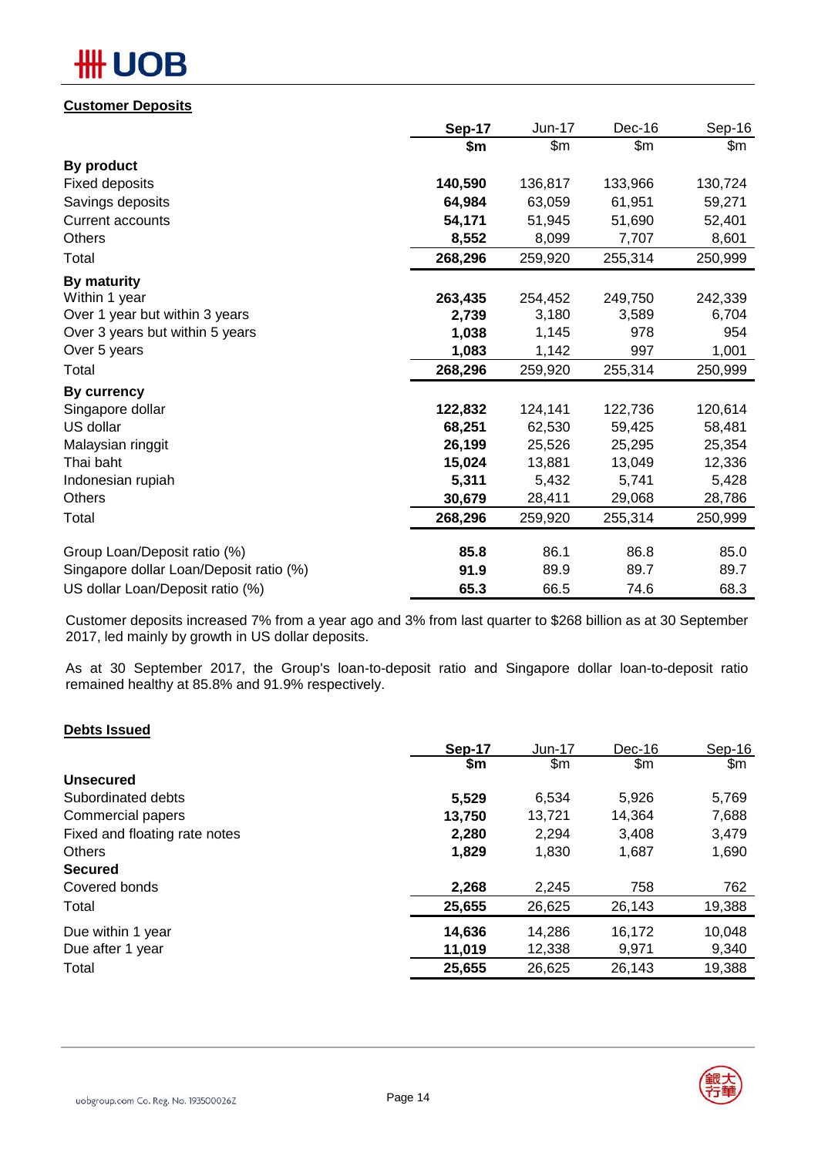# **OB**

### **Customer Deposits**

|                                         | Sep-17  | Jun-17  | Dec-16  | Sep-16  |
|-----------------------------------------|---------|---------|---------|---------|
|                                         | \$m     | \$m\$   | \$m\$   | \$m     |
| By product                              |         |         |         |         |
| <b>Fixed deposits</b>                   | 140,590 | 136,817 | 133,966 | 130,724 |
| Savings deposits                        | 64,984  | 63,059  | 61,951  | 59,271  |
| <b>Current accounts</b>                 | 54,171  | 51,945  | 51,690  | 52,401  |
| <b>Others</b>                           | 8,552   | 8,099   | 7,707   | 8,601   |
| Total                                   | 268,296 | 259,920 | 255,314 | 250,999 |
| By maturity                             |         |         |         |         |
| Within 1 year                           | 263,435 | 254,452 | 249,750 | 242,339 |
| Over 1 year but within 3 years          | 2,739   | 3,180   | 3,589   | 6,704   |
| Over 3 years but within 5 years         | 1,038   | 1,145   | 978     | 954     |
| Over 5 years                            | 1,083   | 1,142   | 997     | 1,001   |
| Total                                   | 268,296 | 259,920 | 255,314 | 250,999 |
| <b>By currency</b>                      |         |         |         |         |
| Singapore dollar                        | 122,832 | 124,141 | 122,736 | 120,614 |
| US dollar                               | 68,251  | 62,530  | 59,425  | 58,481  |
| Malaysian ringgit                       | 26,199  | 25,526  | 25,295  | 25,354  |
| Thai baht                               | 15,024  | 13,881  | 13,049  | 12,336  |
| Indonesian rupiah                       | 5,311   | 5,432   | 5,741   | 5,428   |
| Others                                  | 30,679  | 28,411  | 29,068  | 28,786  |
| Total                                   | 268,296 | 259,920 | 255,314 | 250,999 |
| Group Loan/Deposit ratio (%)            | 85.8    | 86.1    | 86.8    | 85.0    |
| Singapore dollar Loan/Deposit ratio (%) | 91.9    | 89.9    | 89.7    | 89.7    |
| US dollar Loan/Deposit ratio (%)        | 65.3    | 66.5    | 74.6    | 68.3    |

Customer deposits increased 7% from a year ago and 3% from last quarter to \$268 billion as at 30 September 2017, led mainly by growth in US dollar deposits.

As at 30 September 2017, the Group's loan-to-deposit ratio and Singapore dollar loan-to-deposit ratio remained healthy at 85.8% and 91.9% respectively.

### **Debts Issued**

| Sep-17 | $Jun-17$ | Dec-16 | Sep-16 |
|--------|----------|--------|--------|
| \$m    | \$m      | \$m    | \$m    |
|        |          |        |        |
| 5,529  | 6.534    | 5,926  | 5,769  |
| 13,750 | 13,721   | 14,364 | 7,688  |
| 2,280  | 2,294    | 3,408  | 3,479  |
| 1,829  | 1,830    | 1,687  | 1,690  |
|        |          |        |        |
| 2,268  | 2,245    | 758    | 762    |
| 25,655 | 26,625   | 26,143 | 19,388 |
| 14,636 | 14,286   | 16,172 | 10,048 |
| 11,019 | 12,338   | 9,971  | 9,340  |
| 25,655 | 26,625   | 26,143 | 19,388 |
|        |          |        |        |

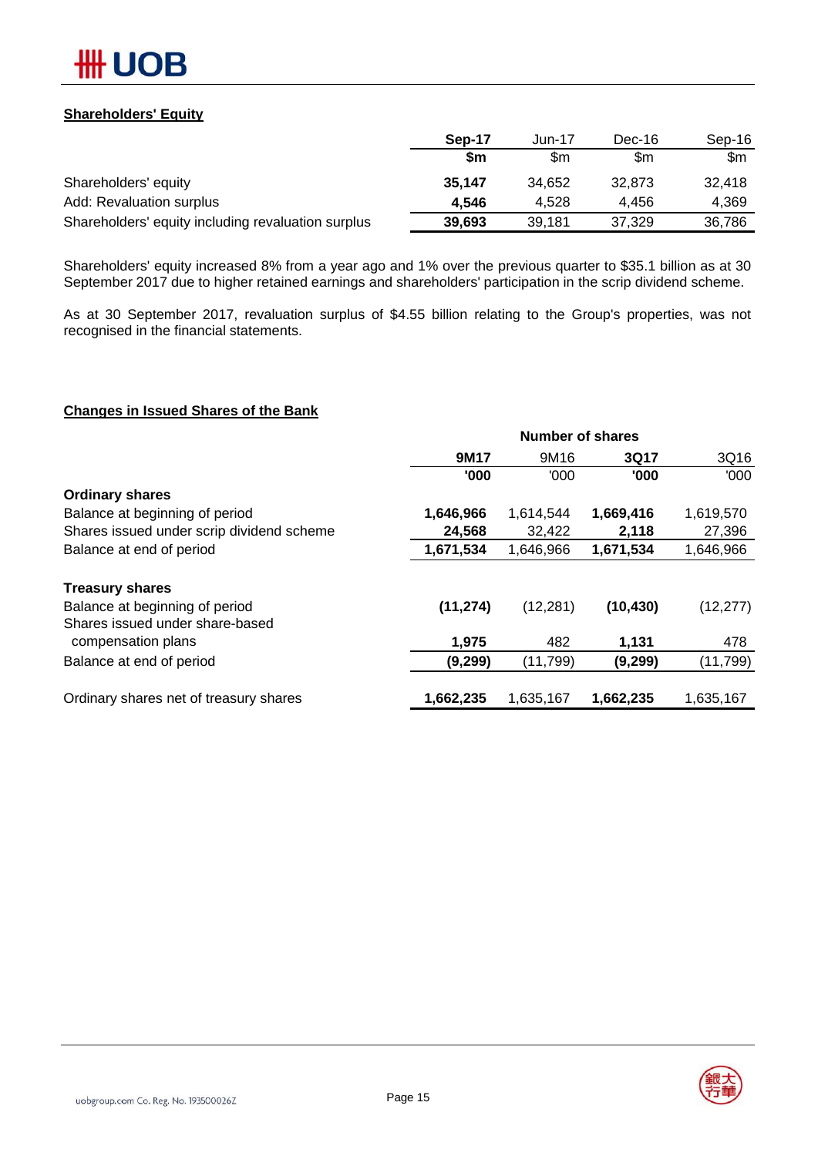

### **Shareholders' Equity**

|                                                    | Sep-17 | Jun-17 | Dec-16 | Sep-16 |
|----------------------------------------------------|--------|--------|--------|--------|
|                                                    | \$m    | \$m    | \$m    | \$m    |
| Shareholders' equity                               | 35.147 | 34.652 | 32.873 | 32.418 |
| Add: Revaluation surplus                           | 4.546  | 4.528  | 4.456  | 4.369  |
| Shareholders' equity including revaluation surplus | 39.693 | 39.181 | 37.329 | 36,786 |

Shareholders' equity increased 8% from a year ago and 1% over the previous quarter to \$35.1 billion as at 30 September 2017 due to higher retained earnings and shareholders' participation in the scrip dividend scheme.

As at 30 September 2017, revaluation surplus of \$4.55 billion relating to the Group's properties, was not recognised in the financial statements.

#### **Changes in Issued Shares of the Bank**

|                                           | <b>Number of shares</b> |           |           |           |  |
|-------------------------------------------|-------------------------|-----------|-----------|-----------|--|
|                                           | 9M17                    | 9M16      | 3Q17      | 3Q16      |  |
|                                           | '000                    | '000'     | '000      | '000      |  |
| <b>Ordinary shares</b>                    |                         |           |           |           |  |
| Balance at beginning of period            | 1,646,966               | 1,614,544 | 1,669,416 | 1,619,570 |  |
| Shares issued under scrip dividend scheme | 24,568                  | 32,422    | 2,118     | 27,396    |  |
| Balance at end of period                  | 1,671,534               | 1,646,966 | 1,671,534 | 1,646,966 |  |
| <b>Treasury shares</b>                    |                         |           |           |           |  |
| Balance at beginning of period            | (11, 274)               | (12, 281) | (10, 430) | (12, 277) |  |
| Shares issued under share-based           |                         |           |           |           |  |
| compensation plans                        | 1,975                   | 482       | 1,131     | 478       |  |
| Balance at end of period                  | (9, 299)                | (11, 799) | (9, 299)  | (11, 799) |  |
| Ordinary shares net of treasury shares    | 1,662,235               | 1,635,167 | 1,662,235 | 1,635,167 |  |

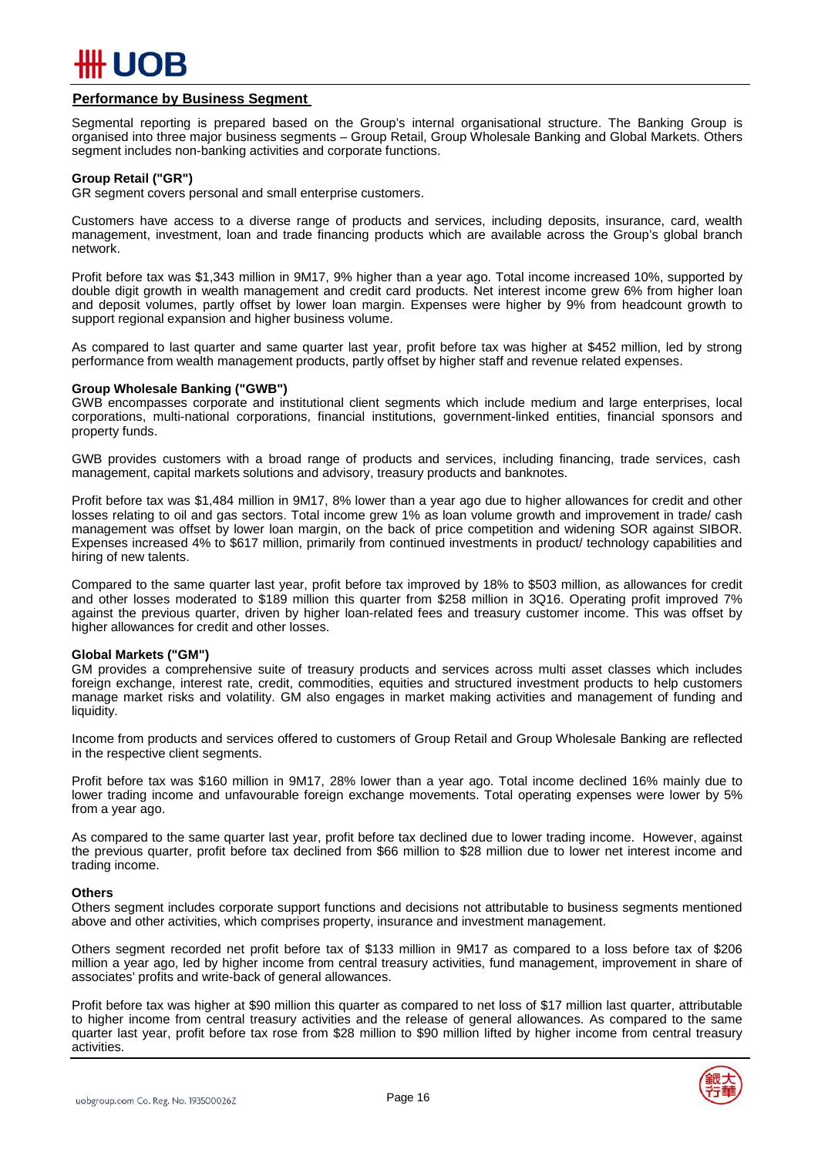

#### **Performance by Business Segment**

Segmental reporting is prepared based on the Group's internal organisational structure. The Banking Group is organised into three major business segments – Group Retail, Group Wholesale Banking and Global Markets. Others segment includes non-banking activities and corporate functions.

#### **Group Retail ("GR")**

GR segment covers personal and small enterprise customers.

Customers have access to a diverse range of products and services, including deposits, insurance, card, wealth management, investment, loan and trade financing products which are available across the Group's global branch network.

Profit before tax was \$1,343 million in 9M17, 9% higher than a year ago. Total income increased 10%, supported by double digit growth in wealth management and credit card products. Net interest income grew 6% from higher loan and deposit volumes, partly offset by lower loan margin. Expenses were higher by 9% from headcount growth to support regional expansion and higher business volume.

As compared to last quarter and same quarter last year, profit before tax was higher at \$452 million, led by strong performance from wealth management products, partly offset by higher staff and revenue related expenses.

#### **Group Wholesale Banking ("GWB")**

GWB encompasses corporate and institutional client segments which include medium and large enterprises, local corporations, multi-national corporations, financial institutions, government-linked entities, financial sponsors and property funds.

GWB provides customers with a broad range of products and services, including financing, trade services, cash management, capital markets solutions and advisory, treasury products and banknotes.

Profit before tax was \$1,484 million in 9M17, 8% lower than a year ago due to higher allowances for credit and other losses relating to oil and gas sectors. Total income grew 1% as loan volume growth and improvement in trade/ cash management was offset by lower loan margin, on the back of price competition and widening SOR against SIBOR. Expenses increased 4% to \$617 million, primarily from continued investments in product/ technology capabilities and hiring of new talents.

Compared to the same quarter last year, profit before tax improved by 18% to \$503 million, as allowances for credit and other losses moderated to \$189 million this quarter from \$258 million in 3Q16. Operating profit improved 7% against the previous quarter, driven by higher loan-related fees and treasury customer income. This was offset by higher allowances for credit and other losses.

#### **Global Markets ("GM")**

GM provides a comprehensive suite of treasury products and services across multi asset classes which includes foreign exchange, interest rate, credit, commodities, equities and structured investment products to help customers manage market risks and volatility. GM also engages in market making activities and management of funding and liquidity.

Income from products and services offered to customers of Group Retail and Group Wholesale Banking are reflected in the respective client segments.

Profit before tax was \$160 million in 9M17, 28% lower than a year ago. Total income declined 16% mainly due to lower trading income and unfavourable foreign exchange movements. Total operating expenses were lower by 5% from a year ago.

As compared to the same quarter last year, profit before tax declined due to lower trading income. However, against the previous quarter, profit before tax declined from \$66 million to \$28 million due to lower net interest income and trading income.

#### **Others**

Others segment includes corporate support functions and decisions not attributable to business segments mentioned above and other activities, which comprises property, insurance and investment management.

Others segment recorded net profit before tax of \$133 million in 9M17 as compared to a loss before tax of \$206 million a year ago, led by higher income from central treasury activities, fund management, improvement in share of associates' profits and write-back of general allowances.

Profit before tax was higher at \$90 million this quarter as compared to net loss of \$17 million last quarter, attributable to higher income from central treasury activities and the release of general allowances. As compared to the same quarter last year, profit before tax rose from \$28 million to \$90 million lifted by higher income from central treasury activities.

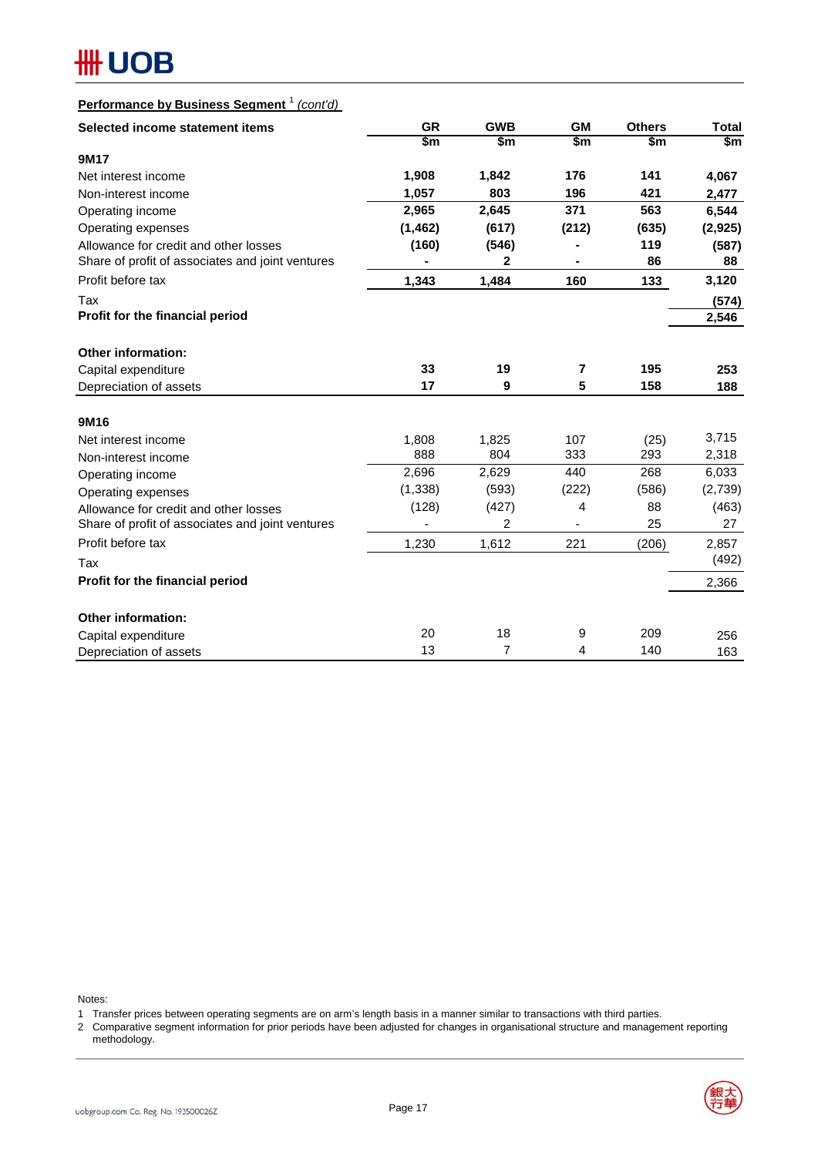# **HH UOB**

# **Performance by Business Segment** <sup>1</sup> *(cont'd)*

| Selected income statement items                  | <b>GR</b> | <b>GWB</b> | <b>GM</b> | <b>Others</b> | <b>Total</b> |
|--------------------------------------------------|-----------|------------|-----------|---------------|--------------|
|                                                  | \$m       | \$m        | \$m\$     | \$m\$         | \$m          |
| 9M17                                             |           |            |           |               |              |
| Net interest income                              | 1,908     | 1,842      | 176       | 141           | 4,067        |
| Non-interest income                              | 1,057     | 803        | 196       | 421           | 2,477        |
| Operating income                                 | 2,965     | 2,645      | 371       | 563           | 6,544        |
| Operating expenses                               | (1, 462)  | (617)      | (212)     | (635)         | (2,925)      |
| Allowance for credit and other losses            | (160)     | (546)      |           | 119           | (587)        |
| Share of profit of associates and joint ventures |           | 2          |           | 86            | 88           |
| Profit before tax                                | 1,343     | 1,484      | 160       | 133           | 3,120        |
| Tax                                              |           |            |           |               | (574)        |
| Profit for the financial period                  |           |            |           |               | 2,546        |
|                                                  |           |            |           |               |              |
| <b>Other information:</b>                        |           |            |           |               |              |
| Capital expenditure                              | 33        | 19         | 7         | 195           | 253          |
| Depreciation of assets                           | 17        | 9          | 5         | 158           | 188          |
|                                                  |           |            |           |               |              |
| 9M16                                             |           |            |           |               |              |
| Net interest income                              | 1,808     | 1,825      | 107       | (25)          | 3,715        |
| Non-interest income                              | 888       | 804        | 333       | 293           | 2,318        |
| Operating income                                 | 2,696     | 2,629      | 440       | 268           | 6,033        |
| Operating expenses                               | (1, 338)  | (593)      | (222)     | (586)         | (2,739)      |
| Allowance for credit and other losses            | (128)     | (427)      | 4         | 88            | (463)        |
| Share of profit of associates and joint ventures |           | 2          |           | 25            | 27           |
| Profit before tax                                | 1.230     | 1,612      | 221       | (206)         | 2,857        |
| Tax                                              |           |            |           |               | (492)        |
| Profit for the financial period                  |           |            |           |               | 2,366        |
| <b>Other information:</b>                        |           |            |           |               |              |
| Capital expenditure                              | 20        | 18         | 9         | 209           | 256          |
| Depreciation of assets                           | 13        | 7          | 4         | 140           | 163          |

Notes:

- 1 Transfer prices between operating segments are on arm's length basis in a manner similar to transactions with third parties.
- 2 Comparative segment information for prior periods have been adjusted for changes in organisational structure and management reporting methodology.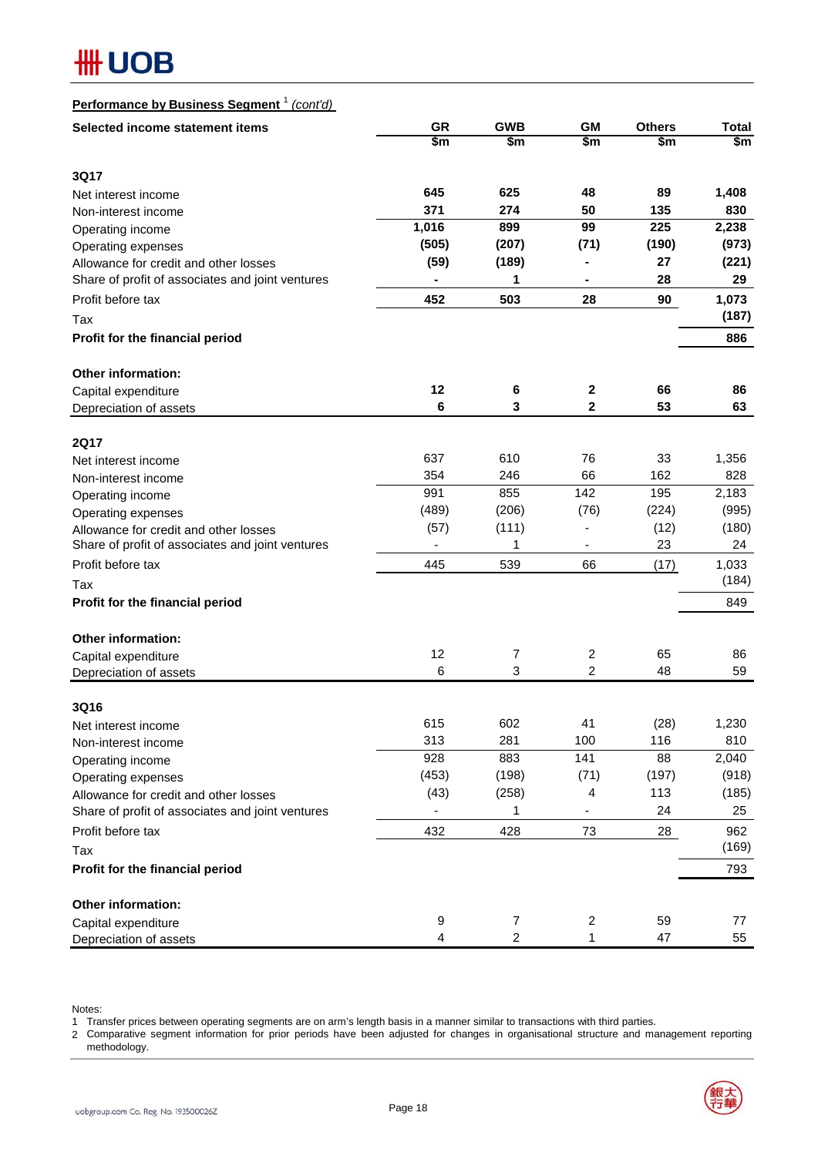# **HH UOB**

| Performance by Business Segment <sup>1</sup> (cont'd) |
|-------------------------------------------------------|
|-------------------------------------------------------|

| Selected income statement items                  | <b>GR</b>                | <b>GWB</b>     | <b>GM</b>      | <b>Others</b> | <b>Total</b> |
|--------------------------------------------------|--------------------------|----------------|----------------|---------------|--------------|
|                                                  | \$m                      | \$m            | \$m            | \$m           | \$m          |
| <b>3Q17</b>                                      |                          |                |                |               |              |
| Net interest income                              | 645                      | 625            | 48             | 89            | 1,408        |
| Non-interest income                              | 371                      | 274            | 50             | 135           | 830          |
| Operating income                                 | 1,016                    | 899            | 99             | 225           | 2,238        |
| Operating expenses                               | (505)                    | (207)          | (71)           | (190)         | (973)        |
| Allowance for credit and other losses            | (59)                     | (189)          |                | 27            | (221)        |
| Share of profit of associates and joint ventures |                          | 1              |                | 28            | 29           |
| Profit before tax                                | 452                      | 503            | 28             | 90            | 1,073        |
| Tax                                              |                          |                |                |               | (187)        |
| Profit for the financial period                  |                          |                |                |               | 886          |
| Other information:                               |                          |                |                |               |              |
| Capital expenditure                              | 12                       | 6              | 2              | 66            | 86           |
| Depreciation of assets                           | 6                        | 3              | $\mathbf{2}$   | 53            | 63           |
|                                                  |                          |                |                |               |              |
| <b>2Q17</b>                                      | 637                      | 610            | 76             | 33            | 1,356        |
| Net interest income                              | 354                      | 246            | 66             | 162           | 828          |
| Non-interest income<br>Operating income          | 991                      | 855            | 142            | 195           | 2,183        |
| Operating expenses                               | (489)                    | (206)          | (76)           | (224)         | (995)        |
| Allowance for credit and other losses            | (57)                     | (111)          |                | (12)          | (180)        |
| Share of profit of associates and joint ventures |                          | 1              | ٠              | 23            | 24           |
| Profit before tax                                | 445                      | 539            | 66             | (17)          | 1,033        |
| Tax                                              |                          |                |                |               | (184)        |
| Profit for the financial period                  |                          |                |                |               | 849          |
| Other information:                               |                          |                |                |               |              |
| Capital expenditure                              | 12                       | 7              | 2              | 65            | 86           |
| Depreciation of assets                           | 6                        | 3              | $\overline{c}$ | 48            | 59           |
|                                                  |                          |                |                |               |              |
| 3Q16<br>Net interest income                      | 615                      | 602            | 41             | (28)          | 1,230        |
| Non-interest income                              | 313                      | 281            | 100            | 116           | 810          |
| Operating income                                 | 928                      | 883            | 141            | 88            | 2,040        |
| Operating expenses                               | (453)                    | (198)          | (71)           | (197)         | (918)        |
| Allowance for credit and other losses            | (43)                     | (258)          | 4              | 113           | (185)        |
| Share of profit of associates and joint ventures | $\overline{\phantom{0}}$ | 1              | -              | 24            | 25           |
| Profit before tax                                | 432                      | 428            | 73             | 28            | 962          |
| Tax                                              |                          |                |                |               | (169)        |
| Profit for the financial period                  |                          |                |                |               | 793          |
| Other information:                               |                          |                |                |               |              |
| Capital expenditure                              | 9                        | 7              | $\overline{c}$ | 59            | 77           |
| Depreciation of assets                           | 4                        | $\overline{c}$ | 1              | 47            | 55           |

Notes:

1 Transfer prices between operating segments are on arm's length basis in a manner similar to transactions with third parties.

2 Comparative segment information for prior periods have been adjusted for changes in organisational structure and management reporting methodology.

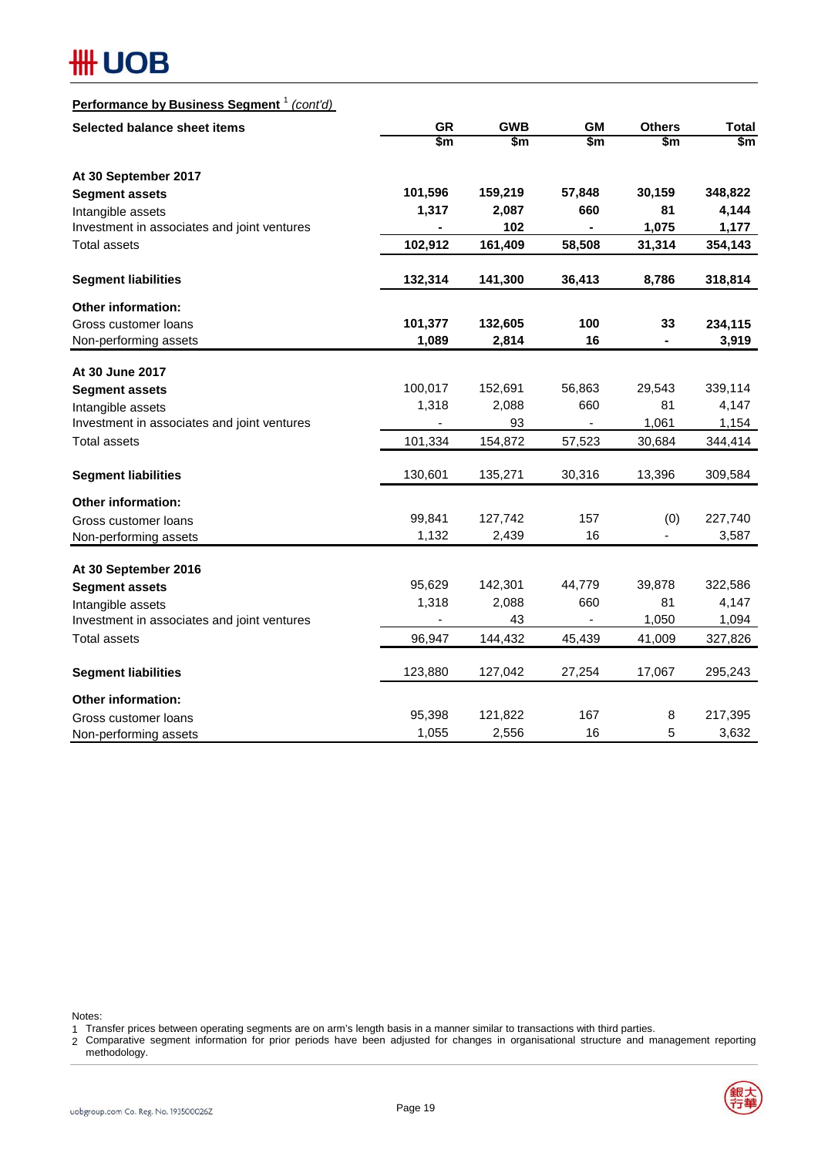# **#H UOB**

# **Performance by Business Segment** <sup>1</sup> *(cont'd)*

| Selected balance sheet items                | <b>GR</b> | <b>GWB</b> | <b>GM</b>      | <b>Others</b> | <b>Total</b> |
|---------------------------------------------|-----------|------------|----------------|---------------|--------------|
|                                             | \$m       | \$m        | \$m            | \$m           | \$m          |
| At 30 September 2017                        |           |            |                |               |              |
| <b>Segment assets</b>                       | 101,596   | 159,219    | 57,848         | 30,159        | 348,822      |
| Intangible assets                           | 1,317     | 2,087      | 660            | 81            | 4,144        |
| Investment in associates and joint ventures |           | 102        |                | 1,075         | 1,177        |
| <b>Total assets</b>                         | 102,912   | 161,409    | 58,508         | 31,314        | 354,143      |
| <b>Segment liabilities</b>                  | 132,314   | 141,300    | 36,413         | 8,786         | 318,814      |
| <b>Other information:</b>                   |           |            |                |               |              |
| Gross customer loans                        | 101,377   | 132,605    | 100            | 33            | 234,115      |
| Non-performing assets                       | 1,089     | 2,814      | 16             |               | 3,919        |
| At 30 June 2017                             |           |            |                |               |              |
| <b>Segment assets</b>                       | 100,017   | 152,691    | 56,863         | 29,543        | 339,114      |
| Intangible assets                           | 1,318     | 2,088      | 660            | 81            | 4,147        |
| Investment in associates and joint ventures |           | 93         | $\blacksquare$ | 1,061         | 1,154        |
| <b>Total assets</b>                         | 101,334   | 154,872    | 57,523         | 30,684        | 344,414      |
| <b>Segment liabilities</b>                  | 130,601   | 135,271    | 30,316         | 13,396        | 309,584      |
| <b>Other information:</b>                   |           |            |                |               |              |
| Gross customer loans                        | 99,841    | 127,742    | 157            | (0)           | 227,740      |
| Non-performing assets                       | 1,132     | 2,439      | 16             |               | 3,587        |
| At 30 September 2016                        |           |            |                |               |              |
| <b>Segment assets</b>                       | 95,629    | 142,301    | 44,779         | 39,878        | 322,586      |
| Intangible assets                           | 1,318     | 2,088      | 660            | 81            | 4,147        |
| Investment in associates and joint ventures | ä,        | 43         |                | 1,050         | 1,094        |
| <b>Total assets</b>                         | 96,947    | 144,432    | 45,439         | 41,009        | 327,826      |
| <b>Segment liabilities</b>                  | 123,880   | 127,042    | 27,254         | 17,067        | 295,243      |
| Other information:                          |           |            |                |               |              |
| Gross customer loans                        | 95,398    | 121,822    | 167            | 8             | 217,395      |
| Non-performing assets                       | 1,055     | 2,556      | 16             | 5             | 3,632        |

Notes:

1 Transfer prices between operating segments are on arm's length basis in a manner similar to transactions with third parties.

2 Comparative segment information for prior periods have been adjusted for changes in organisational structure and management reporting methodology.

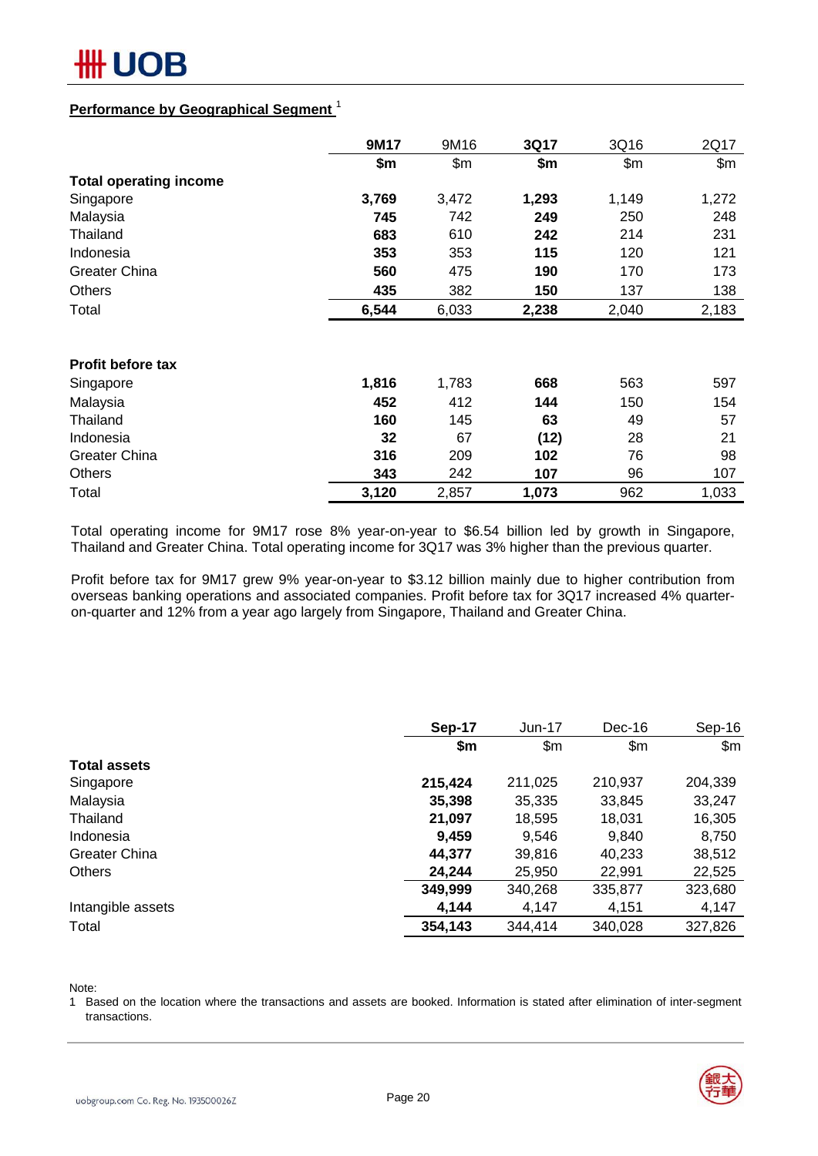

### **Performance by Geographical Segment** <sup>1</sup>

|                               | 9M17  | 9M16  | 3Q17  | 3Q16  | 2Q17  |
|-------------------------------|-------|-------|-------|-------|-------|
|                               | \$m   | \$m\$ | \$m   | \$m\$ | \$m\$ |
| <b>Total operating income</b> |       |       |       |       |       |
| Singapore                     | 3,769 | 3,472 | 1,293 | 1,149 | 1,272 |
| Malaysia                      | 745   | 742   | 249   | 250   | 248   |
| Thailand                      | 683   | 610   | 242   | 214   | 231   |
| Indonesia                     | 353   | 353   | 115   | 120   | 121   |
| <b>Greater China</b>          | 560   | 475   | 190   | 170   | 173   |
| <b>Others</b>                 | 435   | 382   | 150   | 137   | 138   |
| Total                         | 6,544 | 6,033 | 2,238 | 2,040 | 2,183 |
|                               |       |       |       |       |       |
| <b>Profit before tax</b>      |       |       |       |       |       |
| Singapore                     | 1,816 | 1,783 | 668   | 563   | 597   |
| Malaysia                      | 452   | 412   | 144   | 150   | 154   |
| Thailand                      | 160   | 145   | 63    | 49    | 57    |
| Indonesia                     | 32    | 67    | (12)  | 28    | 21    |
| <b>Greater China</b>          | 316   | 209   | 102   | 76    | 98    |
| <b>Others</b>                 | 343   | 242   | 107   | 96    | 107   |
| Total                         | 3,120 | 2,857 | 1,073 | 962   | 1,033 |

Total operating income for 9M17 rose 8% year-on-year to \$6.54 billion led by growth in Singapore, Thailand and Greater China. Total operating income for 3Q17 was 3% higher than the previous quarter.

Profit before tax for 9M17 grew 9% year-on-year to \$3.12 billion mainly due to higher contribution from overseas banking operations and associated companies. Profit before tax for 3Q17 increased 4% quarteron-quarter and 12% from a year ago largely from Singapore, Thailand and Greater China.

|                     | Sep-17  | $Jun-17$ | Dec-16  | Sep-16  |
|---------------------|---------|----------|---------|---------|
|                     | \$m     | \$m      | \$m     | \$m\$   |
| <b>Total assets</b> |         |          |         |         |
| Singapore           | 215,424 | 211,025  | 210,937 | 204,339 |
| Malaysia            | 35,398  | 35,335   | 33,845  | 33,247  |
| Thailand            | 21,097  | 18,595   | 18,031  | 16,305  |
| Indonesia           | 9,459   | 9,546    | 9,840   | 8,750   |
| Greater China       | 44,377  | 39,816   | 40,233  | 38,512  |
| <b>Others</b>       | 24,244  | 25,950   | 22,991  | 22,525  |
|                     | 349,999 | 340,268  | 335,877 | 323,680 |
| Intangible assets   | 4,144   | 4,147    | 4,151   | 4,147   |
| Total               | 354,143 | 344,414  | 340,028 | 327,826 |

Note:

1 Based on the location where the transactions and assets are booked. Information is stated after elimination of inter-segment transactions.

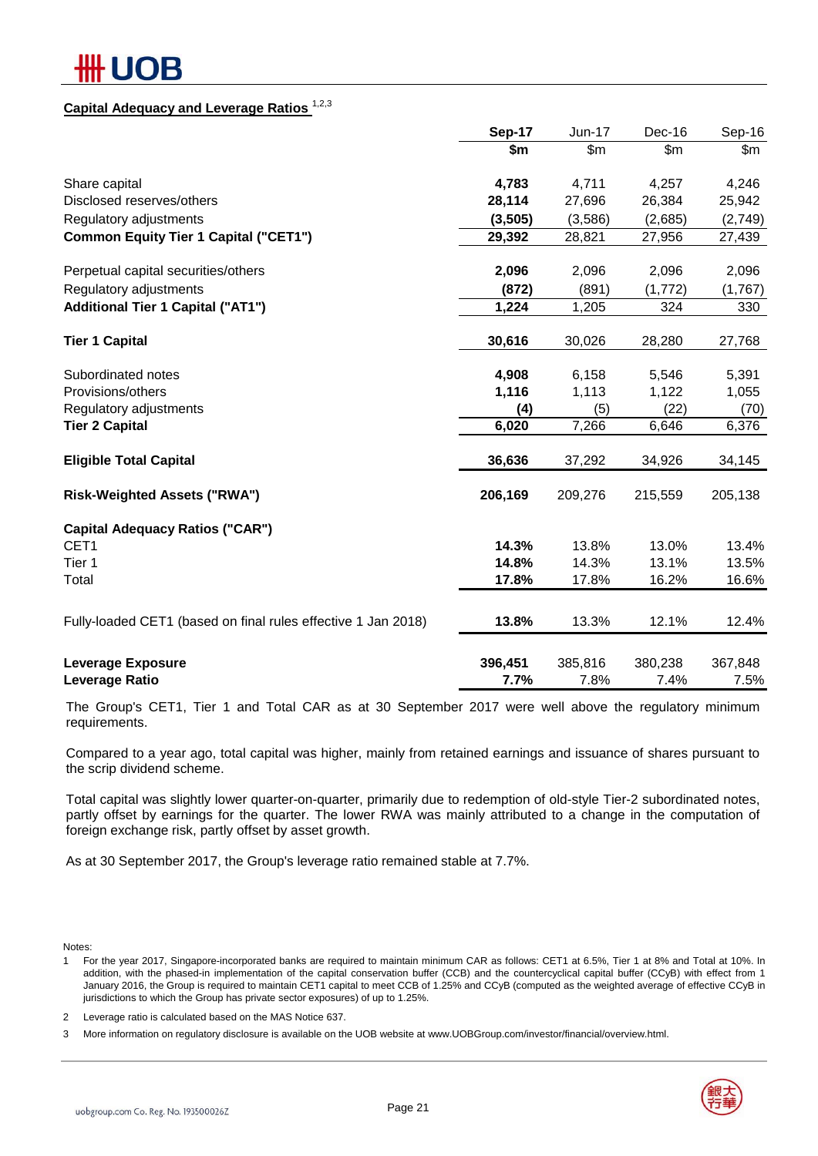# IOB

# **Capital Adequacy and Leverage Ratios** 1,2,3

|                                                               | Sep-17  | $Jun-17$ | Dec-16   | Sep-16  |
|---------------------------------------------------------------|---------|----------|----------|---------|
|                                                               | \$m\$   | \$m\$    | \$m\$    | \$m     |
| Share capital                                                 | 4,783   | 4,711    | 4,257    | 4,246   |
| Disclosed reserves/others                                     | 28,114  | 27,696   | 26,384   | 25,942  |
| Regulatory adjustments                                        | (3,505) | (3,586)  | (2,685)  | (2,749) |
| <b>Common Equity Tier 1 Capital ("CET1")</b>                  | 29,392  | 28,821   | 27,956   | 27,439  |
| Perpetual capital securities/others                           | 2,096   | 2,096    | 2,096    | 2,096   |
| Regulatory adjustments                                        | (872)   | (891)    | (1, 772) | (1,767) |
| <b>Additional Tier 1 Capital ("AT1")</b>                      | 1,224   | 1,205    | 324      | 330     |
| <b>Tier 1 Capital</b>                                         | 30,616  | 30,026   | 28,280   | 27,768  |
| Subordinated notes                                            | 4,908   | 6,158    | 5,546    | 5,391   |
| Provisions/others                                             | 1,116   | 1,113    | 1,122    | 1,055   |
| Regulatory adjustments                                        | (4)     | (5)      | (22)     | (70)    |
| <b>Tier 2 Capital</b>                                         | 6,020   | 7,266    | 6,646    | 6,376   |
| <b>Eligible Total Capital</b>                                 | 36,636  | 37,292   | 34,926   | 34,145  |
| <b>Risk-Weighted Assets ("RWA")</b>                           | 206,169 | 209,276  | 215,559  | 205,138 |
| <b>Capital Adequacy Ratios ("CAR")</b>                        |         |          |          |         |
| CET1                                                          | 14.3%   | 13.8%    | 13.0%    | 13.4%   |
| Tier 1                                                        | 14.8%   | 14.3%    | 13.1%    | 13.5%   |
| Total                                                         | 17.8%   | 17.8%    | 16.2%    | 16.6%   |
| Fully-loaded CET1 (based on final rules effective 1 Jan 2018) | 13.8%   | 13.3%    | 12.1%    | 12.4%   |
| <b>Leverage Exposure</b>                                      | 396,451 | 385,816  | 380,238  | 367,848 |
| Leverage Ratio                                                | 7.7%    | 7.8%     | 7.4%     | 7.5%    |

The Group's CET1, Tier 1 and Total CAR as at 30 September 2017 were well above the regulatory minimum requirements.

Compared to a year ago, total capital was higher, mainly from retained earnings and issuance of shares pursuant to the scrip dividend scheme.

Total capital was slightly lower quarter-on-quarter, primarily due to redemption of old-style Tier-2 subordinated notes, partly offset by earnings for the quarter. The lower RWA was mainly attributed to a change in the computation of foreign exchange risk, partly offset by asset growth.

As at 30 September 2017, the Group's leverage ratio remained stable at 7.7%.

Notes:

1 For the year 2017, Singapore-incorporated banks are required to maintain minimum CAR as follows: CET1 at 6.5%, Tier 1 at 8% and Total at 10%. In addition, with the phased-in implementation of the capital conservation buffer (CCB) and the countercyclical capital buffer (CCyB) with effect from 1 January 2016, the Group is required to maintain CET1 capital to meet CCB of 1.25% and CCyB (computed as the weighted average of effective CCyB in jurisdictions to which the Group has private sector exposures) of up to 1.25%.

2 Leverage ratio is calculated based on the MAS Notice 637.

3 More information on regulatory disclosure is available on the UOB website at www.UOBGroup.com/investor/financial/overview.html.

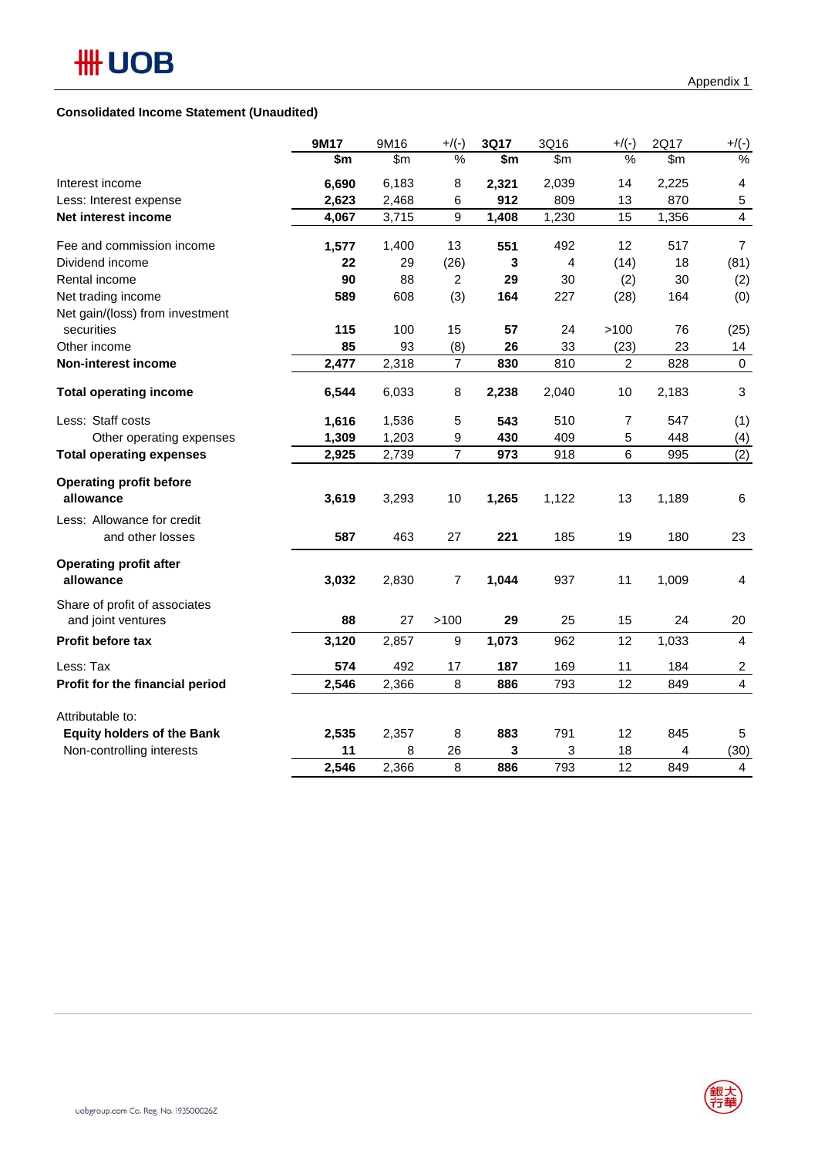#### **Consolidated Income Statement (Unaudited)**

|                                                     | 9M17  | 9M16  | $+$ /(-)       | 3Q17         | 3Q16           | $+$ /(-)       | 2Q17  | $+$ /(-)                |
|-----------------------------------------------------|-------|-------|----------------|--------------|----------------|----------------|-------|-------------------------|
|                                                     | \$m   | \$m   | %              | \$m          | \$m            | %              | \$m\$ | %                       |
| Interest income                                     | 6,690 | 6,183 | 8              | 2,321        | 2,039          | 14             | 2,225 | $\overline{4}$          |
| Less: Interest expense                              | 2,623 | 2,468 | 6              | 912          | 809            | 13             | 870   | 5                       |
| Net interest income                                 | 4,067 | 3,715 | 9              | 1,408        | 1,230          | 15             | 1,356 | $\overline{4}$          |
| Fee and commission income                           | 1,577 | 1,400 | 13             | 551          | 492            | 12             | 517   | $\overline{7}$          |
| Dividend income                                     | 22    | 29    | (26)           | $\mathbf{3}$ | $\overline{4}$ | (14)           | 18    | (81)                    |
| Rental income                                       | 90    | 88    | 2              | 29           | 30             | (2)            | 30    | (2)                     |
| Net trading income                                  | 589   | 608   | (3)            | 164          | 227            | (28)           | 164   | (0)                     |
| Net gain/(loss) from investment                     |       |       |                |              |                |                |       |                         |
| securities                                          | 115   | 100   | 15             | 57           | 24             | >100           | 76    | (25)                    |
| Other income                                        | 85    | 93    | (8)            | 26           | 33             | (23)           | 23    | 14                      |
| Non-interest income                                 | 2,477 | 2,318 | $\overline{7}$ | 830          | 810            | $\overline{c}$ | 828   | $\mathbf 0$             |
| <b>Total operating income</b>                       | 6,544 | 6,033 | 8              | 2,238        | 2,040          | 10             | 2,183 | $\mathbf{3}$            |
| Less: Staff costs                                   | 1,616 | 1,536 | 5              | 543          | 510            | 7              | 547   | (1)                     |
| Other operating expenses                            | 1,309 | 1,203 | 9              | 430          | 409            | 5              | 448   | (4)                     |
| <b>Total operating expenses</b>                     | 2,925 | 2,739 | $\overline{7}$ | 973          | 918            | 6              | 995   | (2)                     |
| <b>Operating profit before</b><br>allowance         | 3,619 | 3,293 | 10             | 1,265        | 1,122          | 13             | 1,189 | 6                       |
| Less: Allowance for credit                          |       |       |                |              |                |                |       |                         |
| and other losses                                    | 587   | 463   | 27             | 221          | 185            | 19             | 180   | 23                      |
| <b>Operating profit after</b><br>allowance          | 3,032 | 2,830 | 7              | 1,044        | 937            | 11             | 1,009 | 4                       |
| Share of profit of associates<br>and joint ventures | 88    | 27    | >100           | 29           | 25             | 15             | 24    | 20                      |
| <b>Profit before tax</b>                            | 3,120 | 2,857 | 9              | 1,073        | 962            | 12             | 1,033 | 4                       |
| Less: Tax                                           | 574   | 492   | 17             | 187          | 169            | 11             | 184   | $\overline{c}$          |
| Profit for the financial period                     | 2,546 | 2,366 | 8              | 886          | 793            | 12             | 849   | $\overline{\mathbf{4}}$ |
| Attributable to:                                    |       |       |                |              |                |                |       |                         |
| <b>Equity holders of the Bank</b>                   | 2,535 | 2,357 | 8              | 883          | 791            | 12             | 845   | 5                       |
| Non-controlling interests                           | 11    | 8     | 26             | 3            | 3              | 18             | 4     | (30)                    |
|                                                     | 2,546 | 2,366 | 8              | 886          | 793            | 12             | 849   | 4                       |

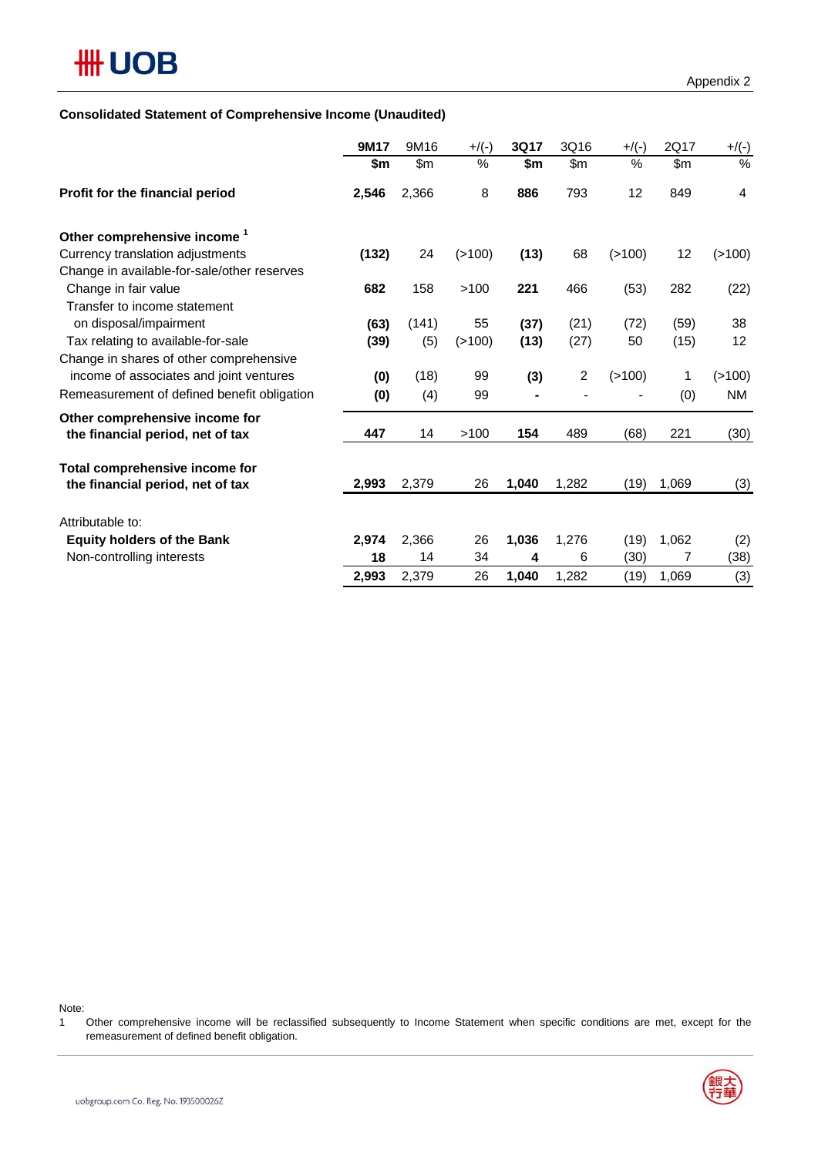### **Consolidated Statement of Comprehensive Income (Unaudited)**

|                                                                    | 9M17  | 9M16  | $+$ /(-) | 3Q17  | 3Q16           | $+$ /(-) | 2Q17  | $+$ /(-)  |
|--------------------------------------------------------------------|-------|-------|----------|-------|----------------|----------|-------|-----------|
|                                                                    | \$m   | \$m   | $\%$     | \$m   | \$m            | $\%$     | \$m   | %         |
| Profit for the financial period                                    | 2,546 | 2,366 | 8        | 886   | 793            | 12       | 849   | 4         |
| Other comprehensive income <sup>1</sup>                            |       |       |          |       |                |          |       |           |
| Currency translation adjustments                                   | (132) | 24    | (>100)   | (13)  | 68             | (>100)   | 12    | ( > 100)  |
| Change in available-for-sale/other reserves                        |       |       |          |       |                |          |       |           |
| Change in fair value                                               | 682   | 158   | >100     | 221   | 466            | (53)     | 282   | (22)      |
| Transfer to income statement                                       |       |       |          |       |                |          |       |           |
| on disposal/impairment                                             | (63)  | (141) | 55       | (37)  | (21)           | (72)     | (59)  | 38        |
| Tax relating to available-for-sale                                 | (39)  | (5)   | (>100)   | (13)  | (27)           | 50       | (15)  | 12        |
| Change in shares of other comprehensive                            |       |       |          |       |                |          |       |           |
| income of associates and joint ventures                            | (0)   | (18)  | 99       | (3)   | $\overline{c}$ | ( > 100) | 1     | (>100)    |
| Remeasurement of defined benefit obligation                        | (0)   | (4)   | 99       |       |                |          | (0)   | <b>NM</b> |
| Other comprehensive income for<br>the financial period, net of tax | 447   | 14    | >100     | 154   | 489            | (68)     | 221   | (30)      |
|                                                                    |       |       |          |       |                |          |       |           |
| Total comprehensive income for                                     |       |       |          |       |                |          |       |           |
| the financial period, net of tax                                   | 2,993 | 2,379 | 26       | 1,040 | 1,282          | (19)     | 1,069 | (3)       |
| Attributable to:                                                   |       |       |          |       |                |          |       |           |
| <b>Equity holders of the Bank</b>                                  | 2,974 | 2,366 | 26       | 1,036 | 1,276          | (19)     | 1,062 | (2)       |
| Non-controlling interests                                          | 18    | 14    | 34       | 4     | 6              | (30)     | 7     | (38)      |
|                                                                    | 2,993 | 2,379 | 26       | 1,040 | 1,282          | (19)     | 1,069 | (3)       |

Note:

<sup>1</sup> Other comprehensive income will be reclassified subsequently to Income Statement when specific conditions are met, except for the remeasurement of defined benefit obligation.

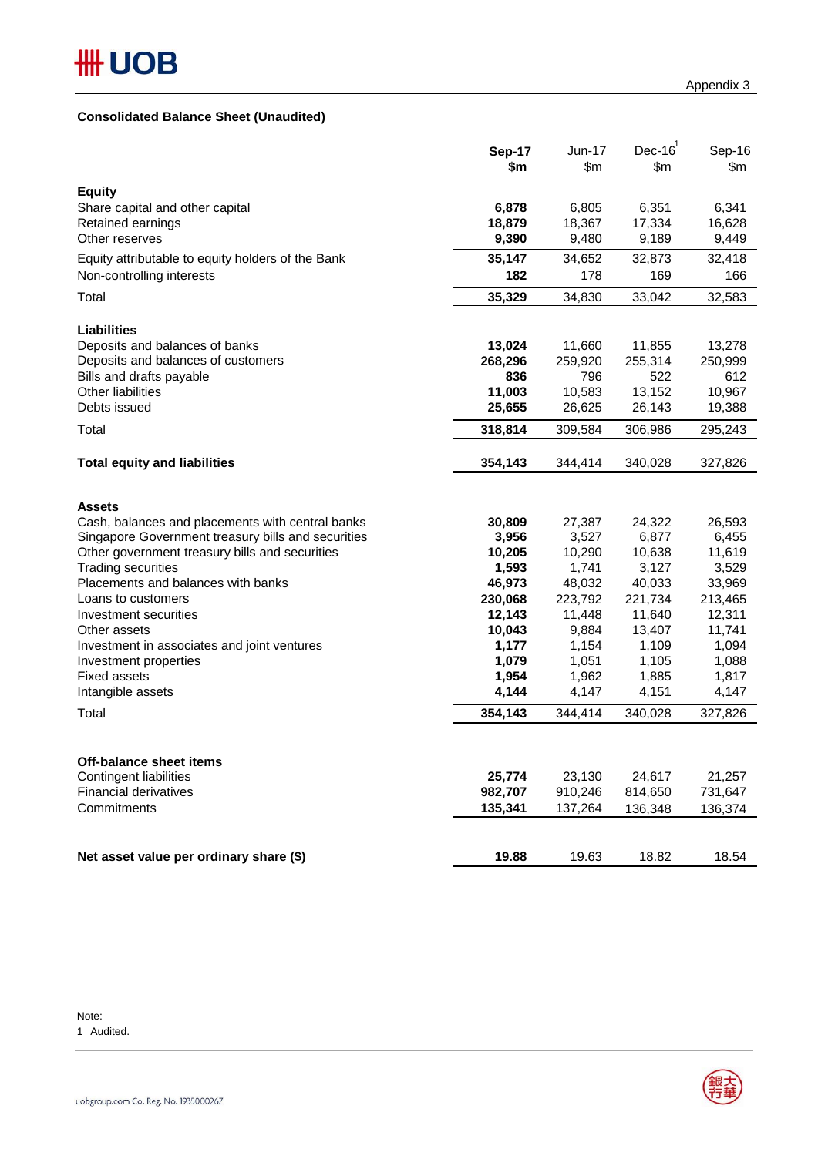### **Consolidated Balance Sheet (Unaudited)**

|                                                                             | Sep-17          | Jun-17          | Dec- $161$      | Sep-16          |
|-----------------------------------------------------------------------------|-----------------|-----------------|-----------------|-----------------|
|                                                                             | \$m             | \$m\$           | \$m\$           | \$m\$           |
| <b>Equity</b>                                                               |                 |                 |                 |                 |
| Share capital and other capital                                             | 6,878           | 6,805           | 6,351           | 6,341           |
| Retained earnings                                                           | 18,879          | 18,367          | 17,334          | 16,628          |
| Other reserves                                                              | 9,390           | 9,480           | 9,189           | 9,449           |
| Equity attributable to equity holders of the Bank                           | 35,147          | 34,652          | 32,873          | 32,418          |
| Non-controlling interests                                                   | 182             | 178             | 169             | 166             |
| Total                                                                       | 35,329          | 34,830          | 33,042          | 32,583          |
| <b>Liabilities</b>                                                          |                 |                 |                 |                 |
| Deposits and balances of banks                                              | 13,024          | 11,660          | 11,855          | 13,278          |
| Deposits and balances of customers                                          | 268,296         | 259,920         | 255,314         | 250,999         |
| Bills and drafts payable                                                    | 836             | 796             | 522             | 612             |
| <b>Other liabilities</b>                                                    | 11,003          | 10,583          | 13,152          | 10,967          |
| Debts issued                                                                | 25,655          | 26,625          | 26,143          | 19,388          |
| Total                                                                       | 318,814         | 309,584         | 306,986         | 295,243         |
| <b>Total equity and liabilities</b>                                         | 354,143         | 344,414         | 340,028         | 327,826         |
|                                                                             |                 |                 |                 |                 |
|                                                                             |                 |                 |                 |                 |
| <b>Assets</b>                                                               |                 |                 |                 |                 |
| Cash, balances and placements with central banks                            | 30,809          | 27,387          | 24,322          | 26,593          |
| Singapore Government treasury bills and securities                          | 3,956           | 3,527           | 6,877           | 6,455<br>11,619 |
| Other government treasury bills and securities<br><b>Trading securities</b> | 10,205<br>1,593 | 10,290<br>1,741 | 10,638<br>3,127 |                 |
| Placements and balances with banks                                          | 46,973          | 48,032          | 40,033          | 3,529<br>33,969 |
| Loans to customers                                                          | 230,068         | 223,792         | 221,734         | 213,465         |
| Investment securities                                                       | 12,143          | 11,448          | 11,640          | 12,311          |
| Other assets                                                                | 10,043          | 9,884           | 13,407          | 11,741          |
| Investment in associates and joint ventures                                 | 1,177           | 1,154           | 1,109           | 1,094           |
| Investment properties                                                       | 1,079           | 1,051           | 1,105           | 1,088           |
| <b>Fixed assets</b>                                                         | 1,954           | 1,962           | 1,885           | 1,817           |
| Intangible assets                                                           | 4,144           | 4,147           | 4,151           | 4,147           |
| Total                                                                       | 354,143         | 344,414         | 340,028         | 327,826         |
|                                                                             |                 |                 |                 |                 |
| Off-balance sheet items                                                     |                 |                 |                 |                 |
| <b>Contingent liabilities</b>                                               | 25,774          | 23,130          | 24,617          | 21,257          |
| <b>Financial derivatives</b>                                                | 982,707         | 910,246         | 814,650         | 731,647         |
| Commitments                                                                 | 135,341         | 137,264         | 136,348         | 136,374         |
|                                                                             |                 |                 |                 |                 |
| Net asset value per ordinary share (\$)                                     | 19.88           | 19.63           | 18.82           | 18.54           |

Note: 1 Audited.

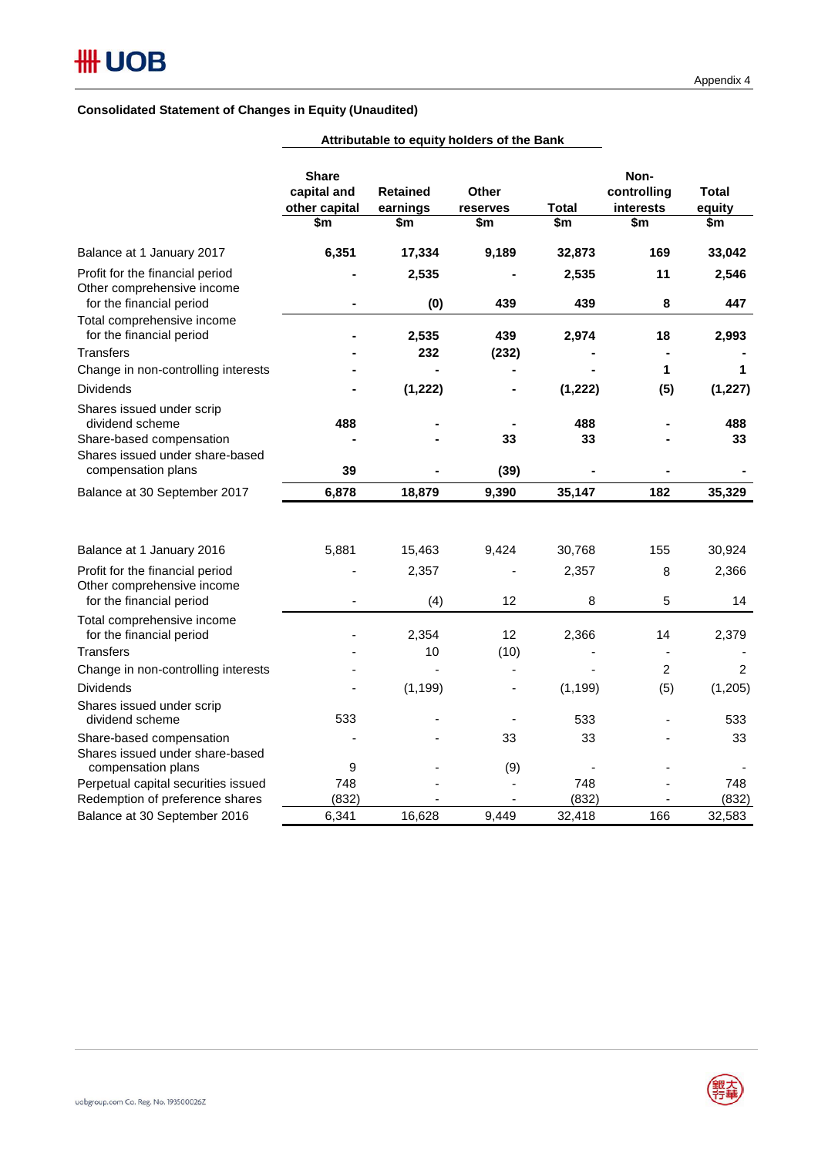### **Consolidated Statement of Changes in Equity (Unaudited)**

|                                                                                                             | <b>Share</b><br>capital and<br>other capital<br>\$m | <b>Retained</b><br>earnings<br>\$m | Other<br>reserves<br>\$m     | <b>Total</b><br>\$m | Non-<br>controlling<br>interests<br>\$m | Total<br>equity<br>\$m |
|-------------------------------------------------------------------------------------------------------------|-----------------------------------------------------|------------------------------------|------------------------------|---------------------|-----------------------------------------|------------------------|
| Balance at 1 January 2017                                                                                   | 6,351                                               | 17,334                             | 9,189                        | 32,873              | 169                                     | 33,042                 |
| Profit for the financial period<br>Other comprehensive income                                               |                                                     | 2,535                              |                              | 2,535               | 11                                      | 2,546                  |
| for the financial period<br>Total comprehensive income<br>for the financial period                          |                                                     | (0)<br>2,535                       | 439<br>439                   | 439<br>2,974        | 8<br>18                                 | 447<br>2,993           |
| <b>Transfers</b>                                                                                            |                                                     | 232                                | (232)                        |                     |                                         |                        |
| Change in non-controlling interests                                                                         |                                                     |                                    |                              |                     | 1                                       | 1                      |
| <b>Dividends</b>                                                                                            |                                                     | (1, 222)                           |                              | (1, 222)            | (5)                                     | (1, 227)               |
| Shares issued under scrip<br>dividend scheme<br>Share-based compensation<br>Shares issued under share-based | 488                                                 |                                    | 33                           | 488<br>33           |                                         | 488<br>33              |
| compensation plans                                                                                          | 39                                                  |                                    | (39)                         |                     |                                         |                        |
| Balance at 30 September 2017                                                                                | 6,878                                               | 18,879                             | 9,390                        | 35,147              | 182                                     | 35,329                 |
| Balance at 1 January 2016                                                                                   | 5,881                                               | 15,463                             | 9,424                        | 30,768              | 155                                     | 30,924                 |
| Profit for the financial period                                                                             |                                                     | 2,357                              |                              | 2,357               | 8                                       | 2,366                  |
| Other comprehensive income<br>for the financial period                                                      |                                                     | (4)                                | 12                           | 8                   | 5                                       | 14                     |
| Total comprehensive income<br>for the financial period                                                      |                                                     | 2,354                              | 12                           | 2,366               | 14                                      | 2,379                  |
| <b>Transfers</b>                                                                                            |                                                     | 10                                 | (10)                         |                     |                                         |                        |
| Change in non-controlling interests                                                                         |                                                     |                                    |                              |                     | $\overline{2}$                          | $\overline{2}$         |
| <b>Dividends</b>                                                                                            |                                                     | (1, 199)                           | $\qquad \qquad \blacksquare$ | (1, 199)            | (5)                                     | (1, 205)               |
| Shares issued under scrip<br>dividend scheme                                                                | 533                                                 |                                    |                              | 533                 |                                         | 533                    |
| Share-based compensation<br>Shares issued under share-based                                                 |                                                     |                                    | 33                           | 33                  |                                         | 33                     |
| compensation plans<br>Perpetual capital securities issued                                                   | 9<br>748                                            |                                    | (9)<br>÷                     | 748                 |                                         | 748                    |
| Redemption of preference shares                                                                             | (832)                                               |                                    |                              | (832)               |                                         | (832)                  |
| Balance at 30 September 2016                                                                                | 6,341                                               | 16,628                             | 9,449                        | 32,418              | 166                                     | 32,583                 |

### **Attributable to equity holders of the Bank**

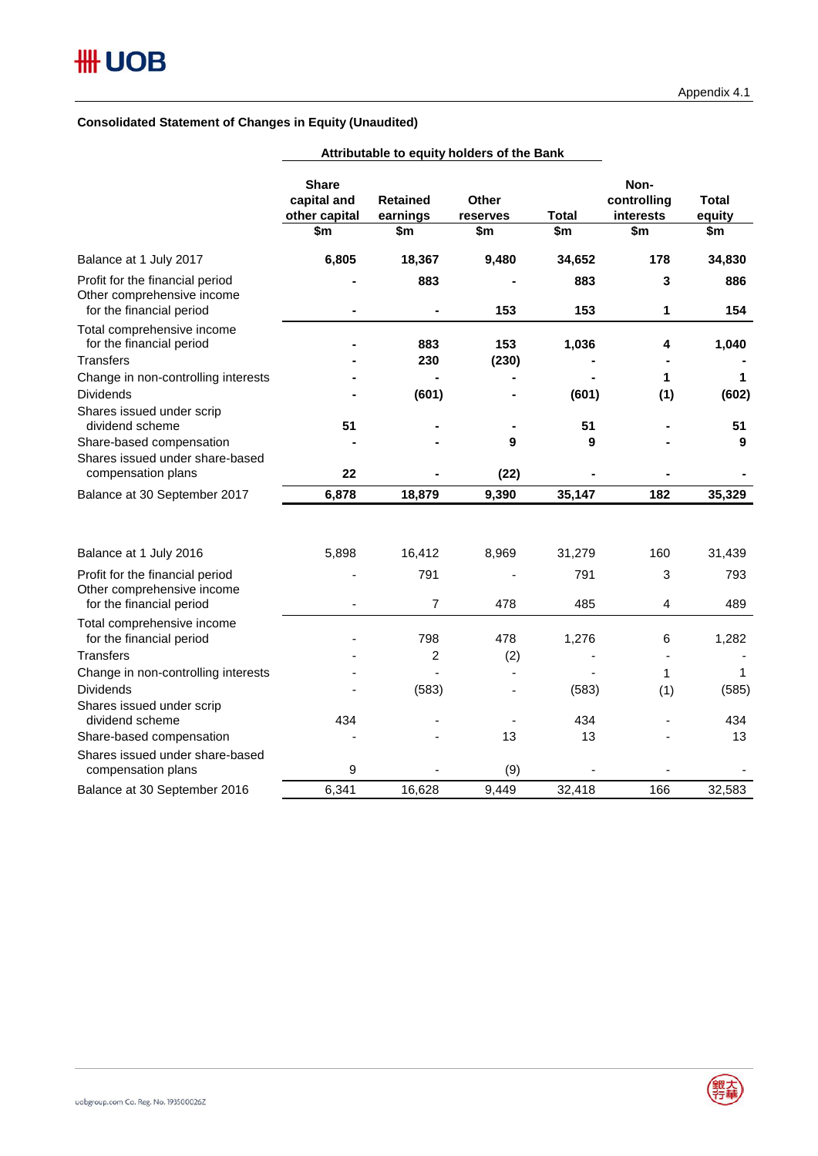### **Consolidated Statement of Changes in Equity (Unaudited)**

|                                                             |                                                     | Attributable to equity holders of the Bank |                                 |                     |                                         |                               |
|-------------------------------------------------------------|-----------------------------------------------------|--------------------------------------------|---------------------------------|---------------------|-----------------------------------------|-------------------------------|
|                                                             | <b>Share</b><br>capital and<br>other capital<br>\$m | <b>Retained</b><br>earnings<br>\$m         | <b>Other</b><br>reserves<br>\$m | <b>Total</b><br>\$m | Non-<br>controlling<br>interests<br>\$m | <b>Total</b><br>equity<br>\$m |
| Balance at 1 July 2017                                      | 6,805                                               | 18,367                                     | 9,480                           | 34,652              | 178                                     | 34,830                        |
| Profit for the financial period                             |                                                     | 883                                        |                                 | 883                 | 3                                       | 886                           |
| Other comprehensive income<br>for the financial period      |                                                     |                                            | 153                             | 153                 | 1                                       | 154                           |
| Total comprehensive income                                  |                                                     |                                            |                                 |                     |                                         |                               |
| for the financial period                                    |                                                     | 883                                        | 153                             | 1,036               | 4                                       | 1,040                         |
| <b>Transfers</b>                                            |                                                     | 230                                        | (230)                           |                     |                                         |                               |
| Change in non-controlling interests                         |                                                     |                                            |                                 |                     | 1                                       | 1                             |
| <b>Dividends</b>                                            |                                                     | (601)                                      |                                 | (601)               | (1)                                     | (602)                         |
| Shares issued under scrip                                   |                                                     |                                            |                                 |                     |                                         |                               |
| dividend scheme                                             | 51                                                  |                                            |                                 | 51                  |                                         | 51                            |
| Share-based compensation<br>Shares issued under share-based |                                                     |                                            | 9                               | 9                   |                                         | 9                             |
| compensation plans                                          | 22                                                  |                                            | (22)                            |                     |                                         |                               |
| Balance at 30 September 2017                                | 6,878                                               | 18,879                                     | 9,390                           | 35,147              | 182                                     | 35,329                        |
|                                                             |                                                     |                                            |                                 |                     |                                         |                               |
| Balance at 1 July 2016                                      | 5,898                                               | 16,412                                     | 8,969                           | 31,279              | 160                                     | 31,439                        |
| Profit for the financial period                             |                                                     | 791                                        |                                 | 791                 | 3                                       | 793                           |
| Other comprehensive income                                  |                                                     |                                            |                                 |                     |                                         |                               |
| for the financial period                                    |                                                     | $\overline{7}$                             | 478                             | 485                 | 4                                       | 489                           |
| Total comprehensive income<br>for the financial period      |                                                     | 798                                        | 478                             | 1,276               | 6                                       | 1,282                         |
| <b>Transfers</b>                                            |                                                     | $\overline{2}$                             | (2)                             |                     |                                         |                               |
| Change in non-controlling interests                         |                                                     |                                            |                                 |                     | 1                                       | 1                             |
| <b>Dividends</b>                                            |                                                     | (583)                                      |                                 | (583)               | (1)                                     | (585)                         |
| Shares issued under scrip                                   |                                                     |                                            |                                 |                     |                                         |                               |
| dividend scheme                                             | 434                                                 |                                            |                                 | 434                 |                                         | 434                           |
| Share-based compensation                                    |                                                     |                                            | 13                              | 13                  |                                         | 13                            |
| Shares issued under share-based                             |                                                     |                                            |                                 |                     |                                         |                               |
| compensation plans                                          | 9                                                   |                                            | (9)                             |                     |                                         |                               |
| Balance at 30 September 2016                                | 6,341                                               | 16,628                                     | 9,449                           | 32,418              | 166                                     | 32,583                        |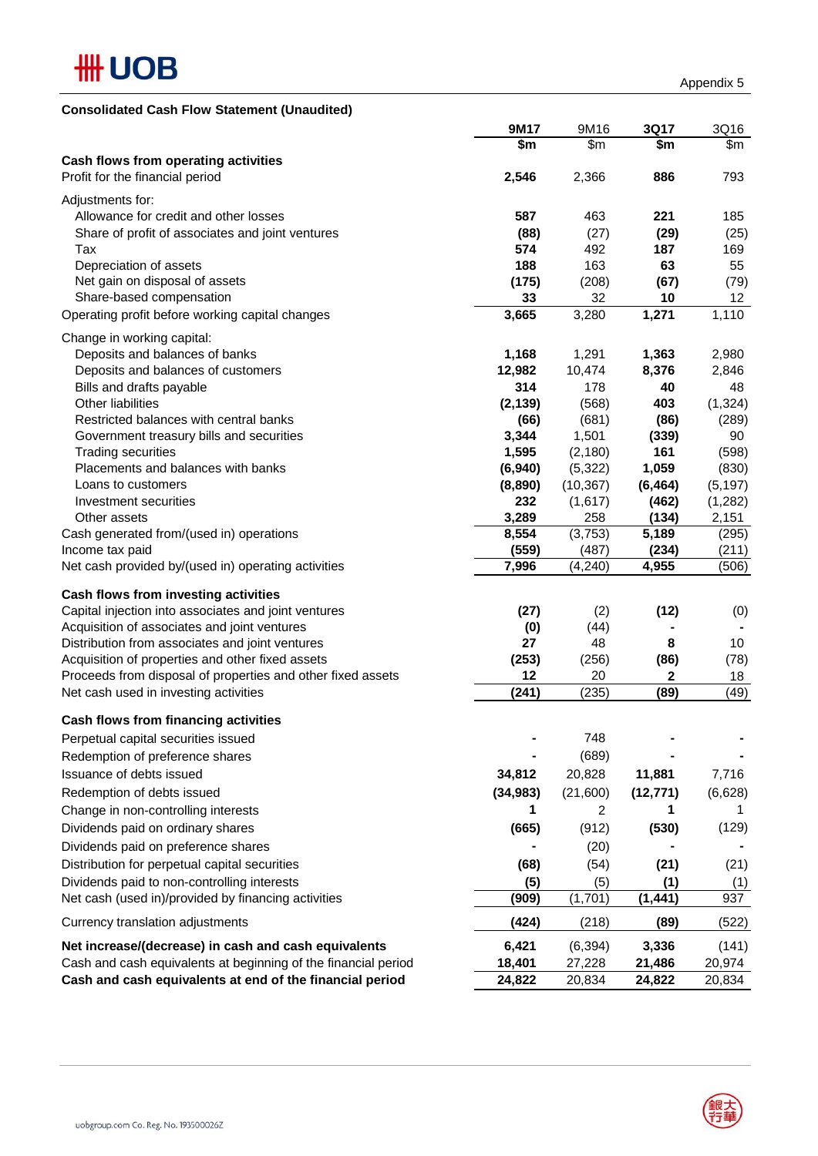

| <b>Consolidated Cash Flow Statement (Unaudited)</b> |  |
|-----------------------------------------------------|--|
|-----------------------------------------------------|--|

|                                                                | 9M17                   | 9M16           | 3Q17      | 3Q16            |
|----------------------------------------------------------------|------------------------|----------------|-----------|-----------------|
|                                                                | $\overline{\text{sm}}$ | \$m            | \$m       | \$m\$           |
| Cash flows from operating activities                           |                        |                |           |                 |
| Profit for the financial period                                | 2,546                  | 2,366          | 886       | 793             |
| Adjustments for:                                               |                        |                |           |                 |
| Allowance for credit and other losses                          | 587                    | 463            | 221       | 185             |
| Share of profit of associates and joint ventures               | (88)                   | (27)           | (29)      | (25)            |
| Tax                                                            | 574                    | 492            | 187       | 169             |
| Depreciation of assets                                         | 188                    | 163            | 63        | 55              |
| Net gain on disposal of assets                                 | (175)                  | (208)          | (67)      | (79)            |
| Share-based compensation                                       | 33                     | 32             | 10        | 12 <sub>2</sub> |
| Operating profit before working capital changes                | 3,665                  | 3,280          | 1,271     | 1,110           |
|                                                                |                        |                |           |                 |
| Change in working capital:                                     |                        |                |           |                 |
| Deposits and balances of banks                                 | 1,168                  | 1,291          | 1,363     | 2,980           |
| Deposits and balances of customers                             | 12,982                 | 10,474         | 8,376     | 2,846           |
| Bills and drafts payable                                       | 314                    | 178            | 40        | 48              |
| Other liabilities                                              | (2, 139)               | (568)          | 403       | (1, 324)        |
| Restricted balances with central banks                         | (66)                   | (681)          | (86)      | (289)           |
| Government treasury bills and securities                       | 3,344                  | 1,501          | (339)     | 90              |
| <b>Trading securities</b>                                      | 1,595                  | (2, 180)       | 161       | (598)           |
| Placements and balances with banks                             | (6,940)                | (5, 322)       | 1,059     | (830)           |
| Loans to customers                                             | (8,890)                | (10, 367)      | (6, 464)  | (5, 197)        |
| Investment securities                                          | 232                    | (1,617)        | (462)     | (1,282)         |
| Other assets                                                   | 3,289                  | 258            | (134)     | 2,151           |
| Cash generated from/(used in) operations                       | 8,554                  | (3,753)        | 5,189     | (295)           |
| Income tax paid                                                | (559)                  | (487)          | (234)     | (211)           |
| Net cash provided by/(used in) operating activities            | 7,996                  | (4, 240)       | 4,955     | (506)           |
| Cash flows from investing activities                           |                        |                |           |                 |
| Capital injection into associates and joint ventures           | (27)                   | (2)            | (12)      | (0)             |
| Acquisition of associates and joint ventures                   | (0)                    | (44)           |           |                 |
| Distribution from associates and joint ventures                | 27                     | 48             | 8         | 10              |
| Acquisition of properties and other fixed assets               | (253)                  | (256)          | (86)      | (78)            |
| Proceeds from disposal of properties and other fixed assets    | 12                     | 20             | 2         | 18              |
| Net cash used in investing activities                          | (241)                  | (235)          | (89)      | (49)            |
|                                                                |                        |                |           |                 |
| Cash flows from financing activities                           |                        |                |           |                 |
| Perpetual capital securities issued                            |                        | 748            |           |                 |
| Redemption of preference shares                                |                        | (689)          |           |                 |
| Issuance of debts issued                                       | 34,812                 | 20,828         | 11,881    | 7,716           |
| Redemption of debts issued                                     | (34, 983)              | (21,600)       | (12, 771) | (6,628)         |
|                                                                | 1                      | $\overline{c}$ | 1         | 1               |
| Change in non-controlling interests                            |                        |                |           |                 |
| Dividends paid on ordinary shares                              | (665)                  | (912)          | (530)     | (129)           |
| Dividends paid on preference shares                            |                        | (20)           |           |                 |
| Distribution for perpetual capital securities                  | (68)                   | (54)           | (21)      | (21)            |
| Dividends paid to non-controlling interests                    | (5)                    | (5)            | (1)       | (1)             |
| Net cash (used in)/provided by financing activities            | (909)                  | (1,701)        | (1, 441)  | 937             |
| Currency translation adjustments                               | (424)                  | (218)          | (89)      | (522)           |
| Net increase/(decrease) in cash and cash equivalents           | 6,421                  | (6, 394)       | 3,336     | (141)           |
| Cash and cash equivalents at beginning of the financial period | 18,401                 | 27,228         | 21,486    | 20,974          |
| Cash and cash equivalents at end of the financial period       | 24,822                 | 20,834         | 24,822    | 20,834          |
|                                                                |                        |                |           |                 |

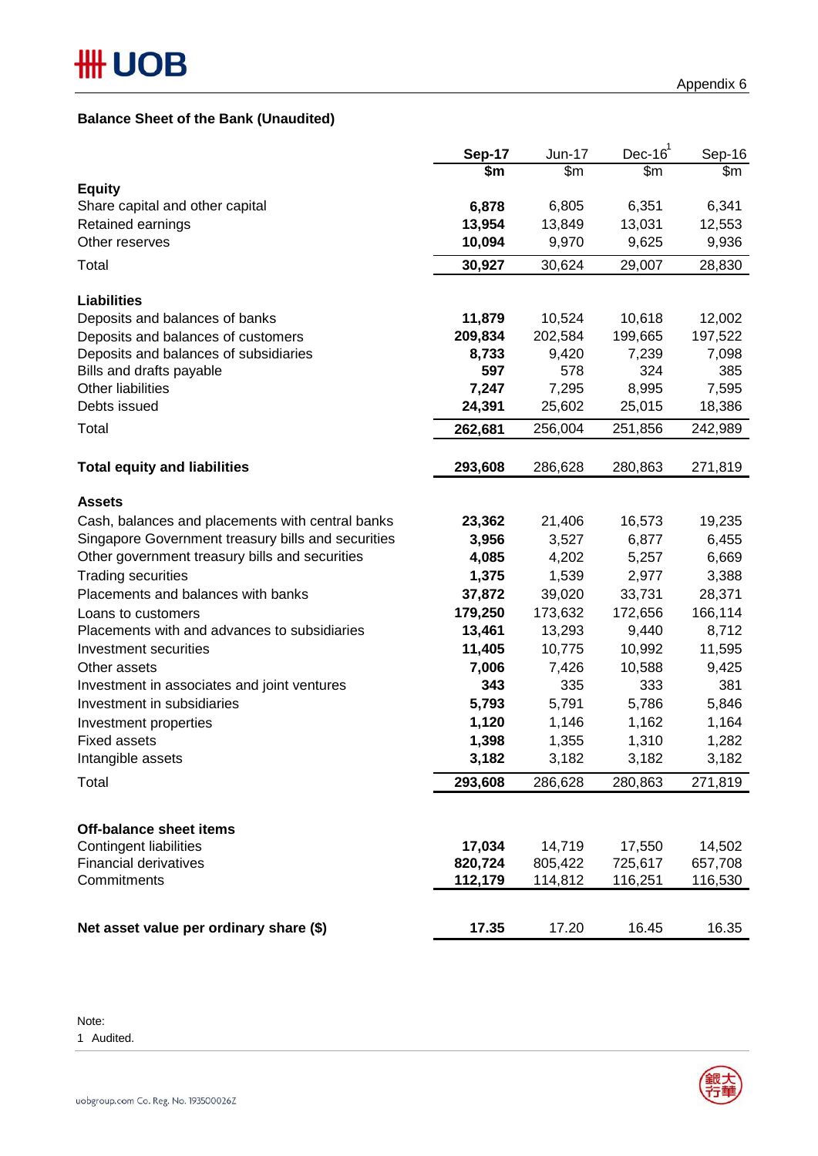# **Balance Sheet of the Bank (Unaudited)**

|                                                          | <b>Sep-17</b>   | Jun-17            | Dec- $161$        | Sep-16            |
|----------------------------------------------------------|-----------------|-------------------|-------------------|-------------------|
|                                                          | \$m             | \$m\$             | \$m               | \$m               |
| <b>Equity</b>                                            |                 |                   |                   |                   |
| Share capital and other capital<br>Retained earnings     | 6,878<br>13,954 | 6,805<br>13,849   | 6,351<br>13,031   | 6,341<br>12,553   |
| Other reserves                                           | 10,094          | 9,970             | 9,625             | 9,936             |
|                                                          |                 |                   |                   |                   |
| Total                                                    | 30,927          | 30,624            | 29,007            | 28,830            |
| <b>Liabilities</b>                                       |                 |                   |                   |                   |
| Deposits and balances of banks                           | 11,879          | 10,524            | 10,618            | 12,002            |
| Deposits and balances of customers                       | 209,834         | 202,584           | 199,665           | 197,522           |
| Deposits and balances of subsidiaries                    | 8,733           | 9,420             | 7,239             | 7,098             |
| Bills and drafts payable                                 | 597             | 578               | 324               | 385               |
| Other liabilities                                        | 7,247           | 7,295             | 8,995             | 7,595             |
| Debts issued                                             | 24,391          | 25,602            | 25,015            | 18,386            |
| Total                                                    | 262,681         | 256,004           | 251,856           | 242,989           |
| <b>Total equity and liabilities</b>                      | 293,608         | 286,628           | 280,863           | 271,819           |
| <b>Assets</b>                                            |                 |                   |                   |                   |
| Cash, balances and placements with central banks         | 23,362          | 21,406            | 16,573            | 19,235            |
| Singapore Government treasury bills and securities       | 3,956           | 3,527             | 6,877             | 6,455             |
| Other government treasury bills and securities           | 4,085           | 4,202             | 5,257             | 6,669             |
| <b>Trading securities</b>                                | 1,375           | 1,539             | 2,977             | 3,388             |
| Placements and balances with banks                       | 37,872          | 39,020            | 33,731            | 28,371            |
| Loans to customers                                       | 179,250         | 173,632           | 172,656           | 166,114           |
| Placements with and advances to subsidiaries             | 13,461          | 13,293            | 9,440             | 8,712             |
| Investment securities                                    | 11,405          | 10,775            | 10,992            | 11,595            |
| Other assets                                             | 7,006           | 7,426             | 10,588            | 9,425             |
| Investment in associates and joint ventures              | 343             | 335               | 333               | 381               |
| Investment in subsidiaries                               | 5,793           | 5,791             | 5,786             | 5,846             |
| Investment properties                                    | 1,120           | 1,146             | 1,162             | 1,164             |
| <b>Fixed assets</b>                                      | 1,398           | 1,355             | 1,310             | 1,282             |
| Intangible assets                                        | 3,182           | 3,182             | 3,182             | 3,182             |
| Total                                                    | 293,608         | 286,628           | 280,863           | 271,819           |
|                                                          |                 |                   |                   |                   |
| <b>Off-balance sheet items</b><br>Contingent liabilities | 17,034          |                   |                   |                   |
| <b>Financial derivatives</b>                             | 820,724         | 14,719<br>805,422 | 17,550<br>725,617 | 14,502<br>657,708 |
| Commitments                                              | 112,179         | 114,812           | 116,251           | 116,530           |
|                                                          |                 |                   |                   |                   |
| Net asset value per ordinary share (\$)                  | 17.35           | 17.20             | 16.45             | 16.35             |

Note:

1 Audited.

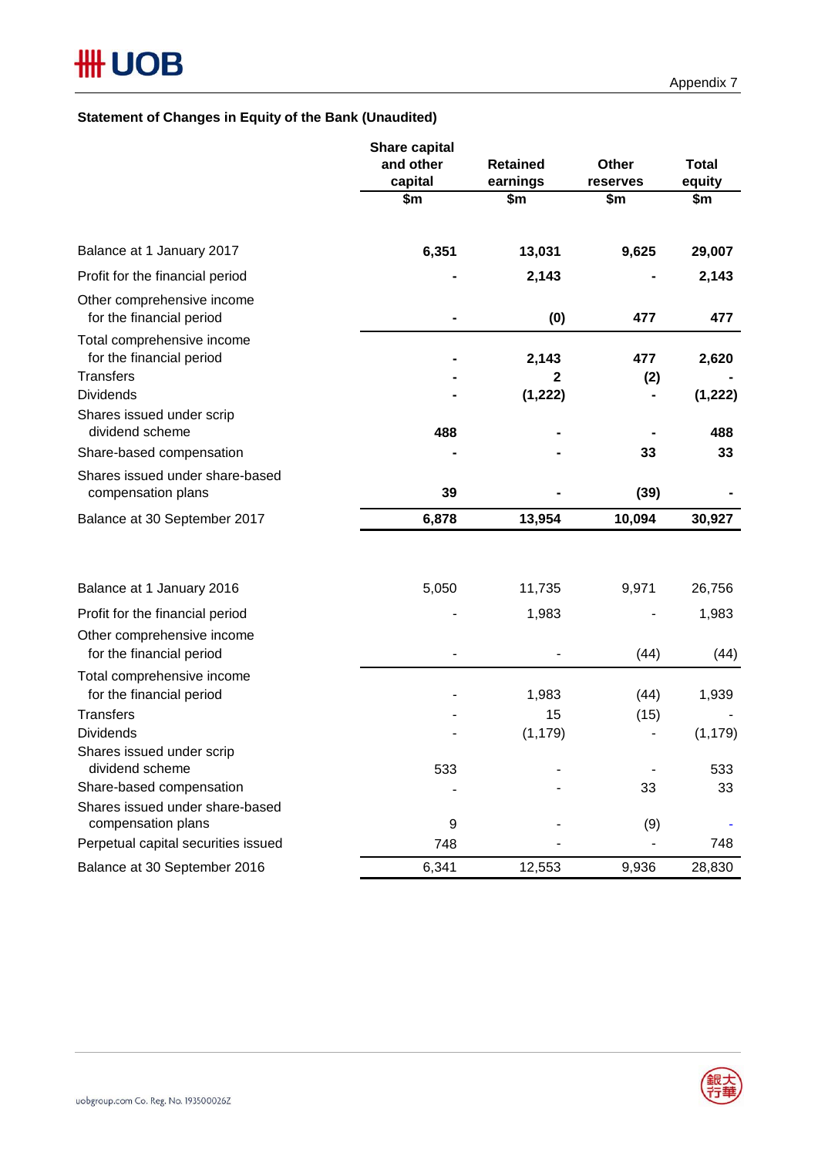# **Statement of Changes in Equity of the Bank (Unaudited)**

|                                                                            | Share capital<br>and other<br>capital | <b>Retained</b><br>earnings | Other<br>reserves | <b>Total</b><br>equity |
|----------------------------------------------------------------------------|---------------------------------------|-----------------------------|-------------------|------------------------|
|                                                                            | \$m                                   | \$m                         | \$m               | \$m                    |
| Balance at 1 January 2017                                                  | 6,351                                 | 13,031                      | 9,625             | 29,007                 |
| Profit for the financial period                                            |                                       | 2,143                       |                   | 2,143                  |
| Other comprehensive income<br>for the financial period                     |                                       | (0)                         | 477               | 477                    |
| Total comprehensive income<br>for the financial period<br><b>Transfers</b> |                                       | 2,143<br>2                  | 477<br>(2)        | 2,620                  |
| <b>Dividends</b>                                                           |                                       | (1, 222)                    |                   | (1, 222)               |
| Shares issued under scrip<br>dividend scheme                               | 488                                   |                             |                   | 488                    |
| Share-based compensation                                                   |                                       |                             | 33                | 33                     |
| Shares issued under share-based<br>compensation plans                      | 39                                    |                             | (39)              |                        |
| Balance at 30 September 2017                                               | 6,878                                 | 13,954                      | 10,094            | 30,927                 |
|                                                                            |                                       |                             |                   |                        |
| Balance at 1 January 2016                                                  | 5,050                                 | 11,735                      | 9,971             | 26,756                 |
| Profit for the financial period                                            |                                       | 1,983                       |                   | 1,983                  |
| Other comprehensive income<br>for the financial period                     |                                       |                             | (44)              | (44)                   |
| Total comprehensive income<br>for the financial period                     |                                       | 1,983                       | (44)              | 1,939                  |
| <b>Transfers</b>                                                           |                                       | 15                          | (15)              |                        |
| <b>Dividends</b>                                                           |                                       | (1, 179)                    |                   | (1, 179)               |
| Shares issued under scrip<br>dividend scheme                               | 533                                   |                             |                   | 533                    |
| Share-based compensation                                                   |                                       |                             | 33                | 33                     |
| Shares issued under share-based<br>compensation plans                      | 9                                     |                             | (9)               |                        |
| Perpetual capital securities issued                                        | 748                                   |                             |                   | 748                    |
| Balance at 30 September 2016                                               | 6,341                                 | 12,553                      | 9,936             | 28,830                 |

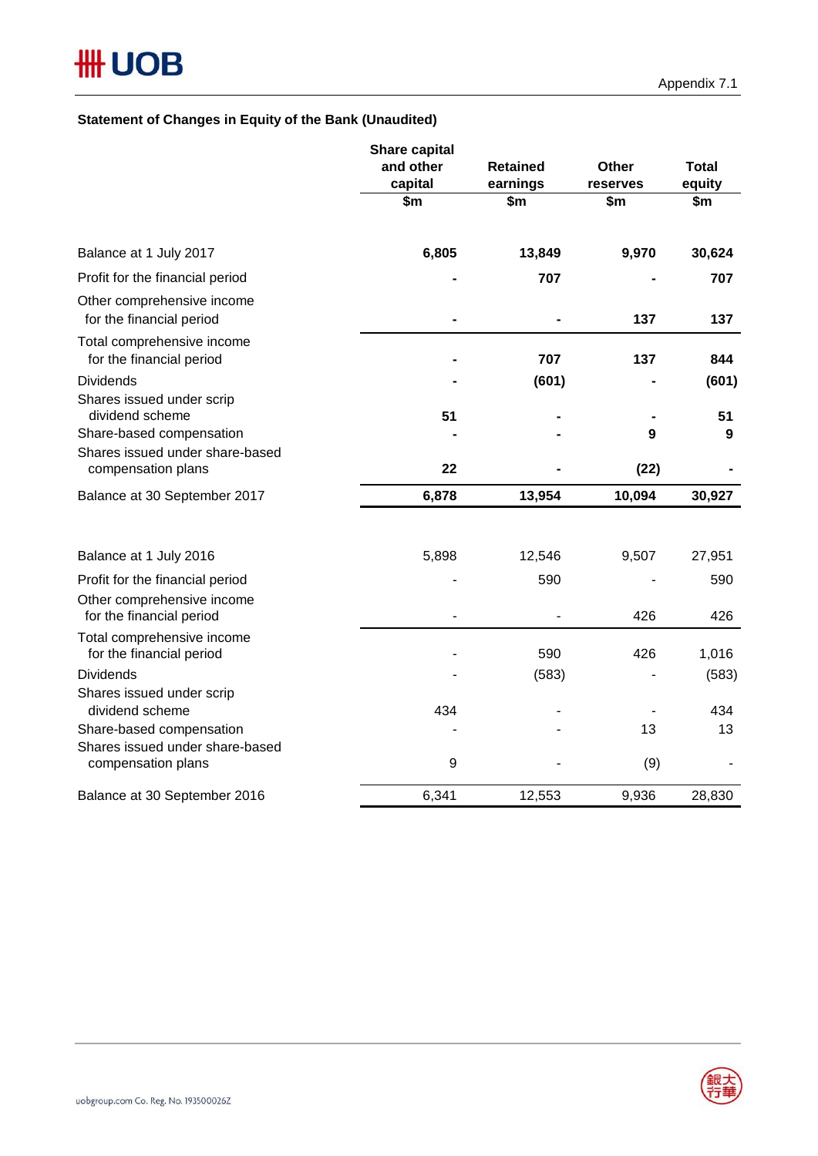# **Statement of Changes in Equity of the Bank (Unaudited)**

| and other<br><b>Retained</b><br>Other<br><b>Total</b><br>capital<br>earnings<br>equity<br>reserves<br>\$m<br>\$m<br>\$m\$<br>\$m<br>6,805<br>9,970<br>13,849<br>30,624<br>Balance at 1 July 2017<br>Profit for the financial period<br>707<br>707<br>Other comprehensive income<br>for the financial period<br>137<br>137<br>Total comprehensive income<br>707<br>for the financial period<br>137<br>844<br><b>Dividends</b><br>(601)<br>(601)<br>Shares issued under scrip<br>dividend scheme<br>51<br>51<br>Share-based compensation<br>$\boldsymbol{9}$<br>9<br>Shares issued under share-based<br>22<br>(22)<br>compensation plans<br>6,878<br>13,954<br>10,094<br>30,927<br>Balance at 30 September 2017<br>5,898<br>9,507<br>27,951<br>Balance at 1 July 2016<br>12,546<br>590<br>Profit for the financial period<br>590<br>Other comprehensive income<br>426<br>426<br>for the financial period<br>Total comprehensive income<br>for the financial period<br>590<br>426<br>1,016<br>(583)<br><b>Dividends</b><br>(583)<br>Shares issued under scrip<br>dividend scheme<br>434<br>434<br>Share-based compensation<br>13<br>13<br>Shares issued under share-based<br>9<br>(9)<br>compensation plans<br>6,341<br>9,936<br>Balance at 30 September 2016<br>12,553<br>28,830 | Share capital |  |  |
|--------------------------------------------------------------------------------------------------------------------------------------------------------------------------------------------------------------------------------------------------------------------------------------------------------------------------------------------------------------------------------------------------------------------------------------------------------------------------------------------------------------------------------------------------------------------------------------------------------------------------------------------------------------------------------------------------------------------------------------------------------------------------------------------------------------------------------------------------------------------------------------------------------------------------------------------------------------------------------------------------------------------------------------------------------------------------------------------------------------------------------------------------------------------------------------------------------------------------------------------------------------------------------|---------------|--|--|
|                                                                                                                                                                                                                                                                                                                                                                                                                                                                                                                                                                                                                                                                                                                                                                                                                                                                                                                                                                                                                                                                                                                                                                                                                                                                                |               |  |  |
|                                                                                                                                                                                                                                                                                                                                                                                                                                                                                                                                                                                                                                                                                                                                                                                                                                                                                                                                                                                                                                                                                                                                                                                                                                                                                |               |  |  |
|                                                                                                                                                                                                                                                                                                                                                                                                                                                                                                                                                                                                                                                                                                                                                                                                                                                                                                                                                                                                                                                                                                                                                                                                                                                                                |               |  |  |
|                                                                                                                                                                                                                                                                                                                                                                                                                                                                                                                                                                                                                                                                                                                                                                                                                                                                                                                                                                                                                                                                                                                                                                                                                                                                                |               |  |  |
|                                                                                                                                                                                                                                                                                                                                                                                                                                                                                                                                                                                                                                                                                                                                                                                                                                                                                                                                                                                                                                                                                                                                                                                                                                                                                |               |  |  |
|                                                                                                                                                                                                                                                                                                                                                                                                                                                                                                                                                                                                                                                                                                                                                                                                                                                                                                                                                                                                                                                                                                                                                                                                                                                                                |               |  |  |
|                                                                                                                                                                                                                                                                                                                                                                                                                                                                                                                                                                                                                                                                                                                                                                                                                                                                                                                                                                                                                                                                                                                                                                                                                                                                                |               |  |  |
|                                                                                                                                                                                                                                                                                                                                                                                                                                                                                                                                                                                                                                                                                                                                                                                                                                                                                                                                                                                                                                                                                                                                                                                                                                                                                |               |  |  |
|                                                                                                                                                                                                                                                                                                                                                                                                                                                                                                                                                                                                                                                                                                                                                                                                                                                                                                                                                                                                                                                                                                                                                                                                                                                                                |               |  |  |
|                                                                                                                                                                                                                                                                                                                                                                                                                                                                                                                                                                                                                                                                                                                                                                                                                                                                                                                                                                                                                                                                                                                                                                                                                                                                                |               |  |  |
|                                                                                                                                                                                                                                                                                                                                                                                                                                                                                                                                                                                                                                                                                                                                                                                                                                                                                                                                                                                                                                                                                                                                                                                                                                                                                |               |  |  |
|                                                                                                                                                                                                                                                                                                                                                                                                                                                                                                                                                                                                                                                                                                                                                                                                                                                                                                                                                                                                                                                                                                                                                                                                                                                                                |               |  |  |
|                                                                                                                                                                                                                                                                                                                                                                                                                                                                                                                                                                                                                                                                                                                                                                                                                                                                                                                                                                                                                                                                                                                                                                                                                                                                                |               |  |  |
|                                                                                                                                                                                                                                                                                                                                                                                                                                                                                                                                                                                                                                                                                                                                                                                                                                                                                                                                                                                                                                                                                                                                                                                                                                                                                |               |  |  |
|                                                                                                                                                                                                                                                                                                                                                                                                                                                                                                                                                                                                                                                                                                                                                                                                                                                                                                                                                                                                                                                                                                                                                                                                                                                                                |               |  |  |
|                                                                                                                                                                                                                                                                                                                                                                                                                                                                                                                                                                                                                                                                                                                                                                                                                                                                                                                                                                                                                                                                                                                                                                                                                                                                                |               |  |  |
|                                                                                                                                                                                                                                                                                                                                                                                                                                                                                                                                                                                                                                                                                                                                                                                                                                                                                                                                                                                                                                                                                                                                                                                                                                                                                |               |  |  |
|                                                                                                                                                                                                                                                                                                                                                                                                                                                                                                                                                                                                                                                                                                                                                                                                                                                                                                                                                                                                                                                                                                                                                                                                                                                                                |               |  |  |
|                                                                                                                                                                                                                                                                                                                                                                                                                                                                                                                                                                                                                                                                                                                                                                                                                                                                                                                                                                                                                                                                                                                                                                                                                                                                                |               |  |  |
|                                                                                                                                                                                                                                                                                                                                                                                                                                                                                                                                                                                                                                                                                                                                                                                                                                                                                                                                                                                                                                                                                                                                                                                                                                                                                |               |  |  |
|                                                                                                                                                                                                                                                                                                                                                                                                                                                                                                                                                                                                                                                                                                                                                                                                                                                                                                                                                                                                                                                                                                                                                                                                                                                                                |               |  |  |